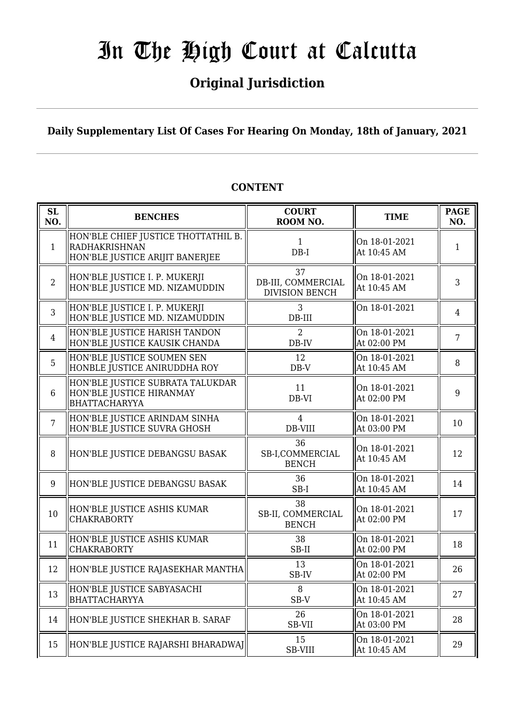## **Original Jurisdiction**

**Daily Supplementary List Of Cases For Hearing On Monday, 18th of January, 2021**

#### **SL SL BENCHES COURT**<br> **NO. BENCHES COURT ROOM NO. TIME PAGE**<br>**ROOM NO. TIME ROOM NO.** 1 HON'BLE CHIEF JUSTICE THOTTATHIL B. RADHAKRISHNAN HON'BLE JUSTICE ARIJIT BANERJEE 1 DB-I On 18-01-2021  $\begin{array}{c|c}\n\text{On 10-01-2021} \\
\text{At 10:45 AM}\n\end{array}$  1 2 HON'BLE JUSTICE I. P. MUKERJI HON'BLE JUSTICE MD. NIZAMUDDIN 37 DB-III, COMMERCIAL DIVISION BENCH On 18-01-2021 At 10:45 AM  $\begin{array}{|c|c|} \hline 3 \\ 3 \end{array}$ 3 HON'BLE JUSTICE I. P. MUKERJI HON'BLE JUSTICE MD. NIZAMUDDIN 3 DB-III On 18-01-2021  $\boxed{4}$ 4 HON'BLE JUSTICE HARISH TANDON HON'BLE JUSTICE KAUSIK CHANDA  $\overline{2}$ DB-IV On 18-01-2021  $\left\{ \begin{array}{c} \n\text{Out 16-01-2021} \\ \n\text{At 02:00 PM} \n\end{array} \right. \n\left. \begin{array}{c} \n\end{array} \right. \n\left. \begin{array}{c} \n\end{array} \right. \n\left. \begin{array}{c} \n\end{array} \right. \n\left. \begin{array}{c} \n\end{array} \right. \n\left. \begin{array}{c} \n\end{array} \right. \n\left. \begin{array}{c} \n\end{array} \right. \n\left. \begin{array}{c} \n\end{array} \right. \n\left. \begin{array}{c}$ 5 HON'BLE JUSTICE SOUMEN SEN HONBLE JUSTICE ANIRUDDHA ROY 12 DB-V On 18-01-2021  $\left\| \begin{array}{c} 8 \ \text{At } 10:45 \text{ AM} \end{array} \right\|$ 6 HON'BLE JUSTICE SUBRATA TALUKDAR HON'BLE JUSTICE HIRANMAY BHATTACHARYYA 11 DB-VI On 18-01-2021  $\left[\begin{array}{cc} 0.1 & 10-0.1 & -2.02 & 1 \\ 0.1 & 0.9 & 0.90 \\ 0.9 & 0.9 & 0.90 \end{array}\right]$  9 7 HON'BLE JUSTICE ARINDAM SINHA HON'BLE JUSTICE SUVRA GHOSH 4 DB-VIII On 18-01-2021  $\left[\begin{array}{cc} \text{OH} & \text{10-U1-ZU21} \\ \text{At} & 03:00 \text{ PM} \end{array}\right]$  10 8 HON'BLE JUSTICE DEBANGSU BASAK 36 SB-I,COMMERCIAL BENCH On 18-01-2021 At 10:45 AM  $\begin{array}{|c|c|} \hline 12 \end{array}$ 9 HON'BLE JUSTICE DEBANGSU BASAK  $\parallel$  36 SB-I On 18-01-2021  $\begin{array}{|c|c|c|c|c|c|c|c|c|} \hline \text{At 10:45 AM} & & & 14 \hline \end{array}$  $10$  HON'BLE JUSTICE ASHIS KUMAR CHAKRABORTY 38 SB-II, COMMERCIAL BENCH On 18-01-2021  $\left[\begin{array}{cc} 0.1 & 10-0.1 & -2.02 & 1 \\ 0.1 & 0.2 & 0.0 \\ 0.0 & 0.0 & 0.0 \end{array}\right]$  17  $\begin{array}{c} \hline 11 \end{array}$  HON'BLE JUSTICE ASHIS KUMAR CHAKRABORTY 38 SB-II On 18-01-2021  $\left\| \begin{array}{c} 18 \\ 2100 \text{ PM} \end{array} \right\|$  18 12 HON'BLE JUSTICE RAJASEKHAR MANTHA  $\parallel$  13 SB-IV On 18-01-2021  $\left\| \begin{array}{cc} 26 \\ \text{At } 02:00 \text{ PM} \end{array} \right\| \left\| 26 \right\|$ 13 HON'BLE JUSTICE SABYASACHI BHATTACHARYYA 8 SB-V On 18-01-2021  $\left\| \begin{array}{cc} 27 \\ \text{At } 10:45 \text{ AM} \end{array} \right\|$ 14 HON'BLE JUSTICE SHEKHAR B. SARAF  $\parallel$  26 SB-VII On 18-01-2021  $\left\| \begin{array}{c} 28 \\ \text{At } 03:00 \text{ PM} \end{array} \right\|$  28 15 HON'BLE JUSTICE RAJARSHI BHARADWAJ 15 SB-VIII On 18-01-2021  $\left\| \begin{array}{c} 29 \\ \text{At } 10:45 \text{ AM} \end{array} \right\|$  29

## **CONTENT**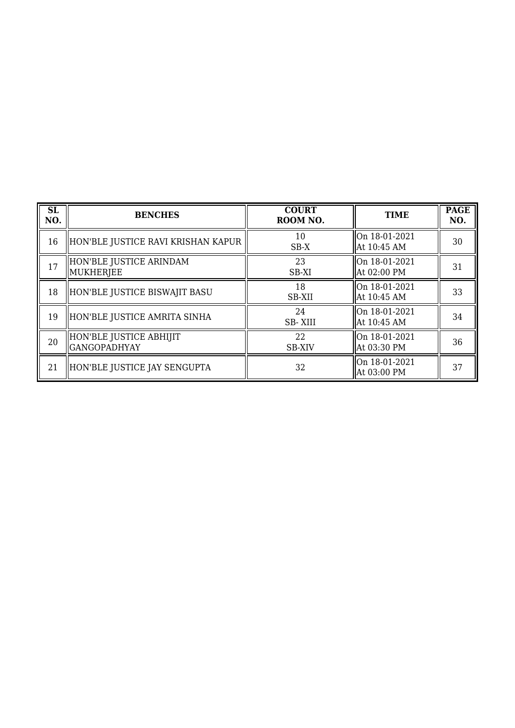| SL<br>NO. | <b>BENCHES</b>                           | <b>COURT</b><br>ROOM NO. | <b>TIME</b>                  | <b>PAGE</b><br>NO. |
|-----------|------------------------------------------|--------------------------|------------------------------|--------------------|
| 16        | HON'BLE JUSTICE RAVI KRISHAN KAPUR       | 10<br>$SB-X$             | On 18-01-2021<br>At 10:45 AM | 30                 |
| 17        | HON'BLE JUSTICE ARINDAM<br>MUKHERJEE     | 23<br>SB-XI              | On 18-01-2021<br>At 02:00 PM | 31                 |
| 18        | HON'BLE JUSTICE BISWAJIT BASU            | 18<br>SB-XII             | On 18-01-2021<br>At 10:45 AM | 33                 |
| 19        | HON'BLE JUSTICE AMRITA SINHA             | 24<br><b>SB-XIII</b>     | On 18-01-2021<br>At 10:45 AM | 34                 |
| 20        | HON'BLE JUSTICE ABHIJIT<br> GANGOPADHYAY | 22<br><b>SB-XIV</b>      | On 18-01-2021<br>At 03:30 PM | 36                 |
| 21        | HON'BLE JUSTICE JAY SENGUPTA             | 32                       | On 18-01-2021<br>At 03:00 PM | 37                 |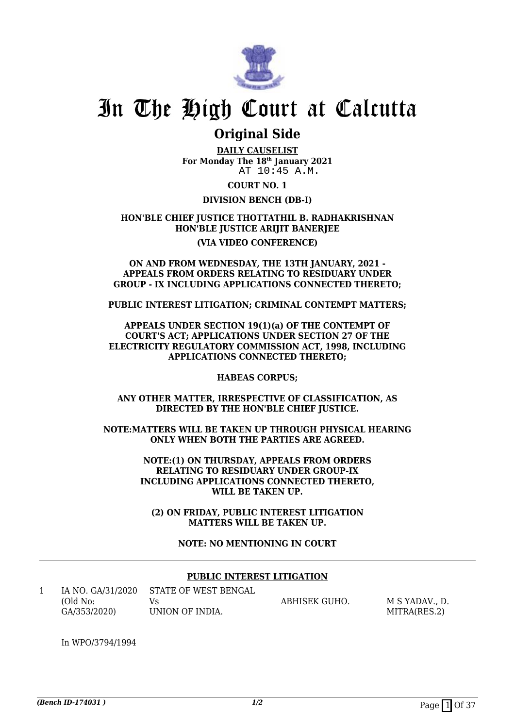

## **Original Side**

**DAILY CAUSELIST For Monday The 18th January 2021** AT 10:45 A.M.

**COURT NO. 1**

### **DIVISION BENCH (DB-I)**

### **HON'BLE CHIEF JUSTICE THOTTATHIL B. RADHAKRISHNAN HON'BLE JUSTICE ARIJIT BANERJEE**

#### **(VIA VIDEO CONFERENCE)**

#### **ON AND FROM WEDNESDAY, THE 13TH JANUARY, 2021 - APPEALS FROM ORDERS RELATING TO RESIDUARY UNDER GROUP - IX INCLUDING APPLICATIONS CONNECTED THERETO;**

**PUBLIC INTEREST LITIGATION; CRIMINAL CONTEMPT MATTERS;**

**APPEALS UNDER SECTION 19(1)(a) OF THE CONTEMPT OF COURT'S ACT; APPLICATIONS UNDER SECTION 27 OF THE ELECTRICITY REGULATORY COMMISSION ACT, 1998, INCLUDING APPLICATIONS CONNECTED THERETO;**

**HABEAS CORPUS;**

**ANY OTHER MATTER, IRRESPECTIVE OF CLASSIFICATION, AS DIRECTED BY THE HON'BLE CHIEF JUSTICE.**

**NOTE:MATTERS WILL BE TAKEN UP THROUGH PHYSICAL HEARING ONLY WHEN BOTH THE PARTIES ARE AGREED.**

> **NOTE:(1) ON THURSDAY, APPEALS FROM ORDERS RELATING TO RESIDUARY UNDER GROUP-IX INCLUDING APPLICATIONS CONNECTED THERETO, WILL BE TAKEN UP.**

**(2) ON FRIDAY, PUBLIC INTEREST LITIGATION MATTERS WILL BE TAKEN UP.**

**NOTE: NO MENTIONING IN COURT**

### **PUBLIC INTEREST LITIGATION**

1 IA NO. GA/31/2020 (Old No: GA/353/2020) STATE OF WEST BENGAL Vs UNION OF INDIA. ABHISEK GUHO. M S YADAV., D. MITRA(RES.2)

In WPO/3794/1994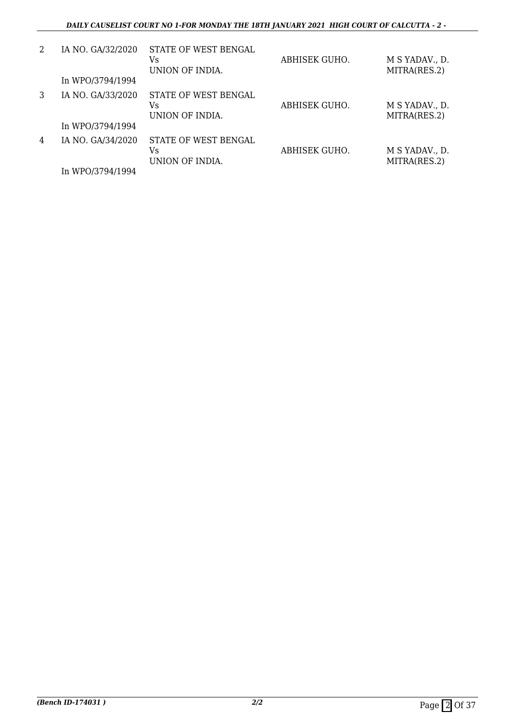| 2 | IA NO. GA/32/2020<br>In WPO/3794/1994 | STATE OF WEST BENGAL<br>Vs<br>UNION OF INDIA. | ABHISEK GUHO. | M S YADAV., D.<br>MITRA(RES.2) |
|---|---------------------------------------|-----------------------------------------------|---------------|--------------------------------|
| 3 | IA NO. GA/33/2020<br>In WPO/3794/1994 | STATE OF WEST BENGAL<br>Vs<br>UNION OF INDIA. | ABHISEK GUHO. | M S YADAV., D.<br>MITRA(RES.2) |
| 4 | IA NO. GA/34/2020<br>In WPO/3794/1994 | STATE OF WEST BENGAL<br>Vs<br>UNION OF INDIA. | ABHISEK GUHO. | M S YADAV., D.<br>MITRA(RES.2) |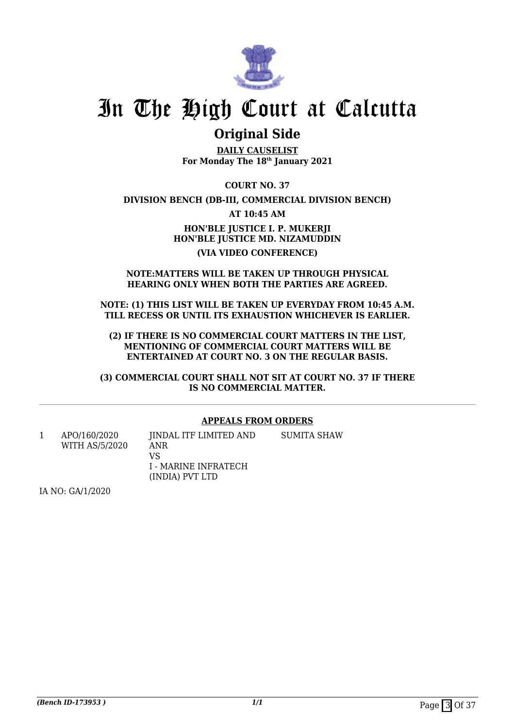

## **Original Side**

**DAILY CAUSELIST For Monday The 18th January 2021**

**COURT NO. 37**

**DIVISION BENCH (DB-III, COMMERCIAL DIVISION BENCH)**

**AT 10:45 AM**

**HON'BLE JUSTICE I. P. MUKERJI HON'BLE JUSTICE MD. NIZAMUDDIN (VIA VIDEO CONFERENCE)**

#### **NOTE:MATTERS WILL BE TAKEN UP THROUGH PHYSICAL HEARING ONLY WHEN BOTH THE PARTIES ARE AGREED.**

**NOTE: (1) THIS LIST WILL BE TAKEN UP EVERYDAY FROM 10:45 A.M. TILL RECESS OR UNTIL ITS EXHAUSTION WHICHEVER IS EARLIER.**

**(2) IF THERE IS NO COMMERCIAL COURT MATTERS IN THE LIST, MENTIONING OF COMMERCIAL COURT MATTERS WILL BE ENTERTAINED AT COURT NO. 3 ON THE REGULAR BASIS.**

**(3) COMMERCIAL COURT SHALL NOT SIT AT COURT NO. 37 IF THERE IS NO COMMERCIAL MATTER.**

### **APPEALS FROM ORDERS**

1 APO/160/2020 WITH AS/5/2020 JINDAL ITF LIMITED AND ANR VS I - MARINE INFRATECH (INDIA) PVT LTD SUMITA SHAW

IA NO: GA/1/2020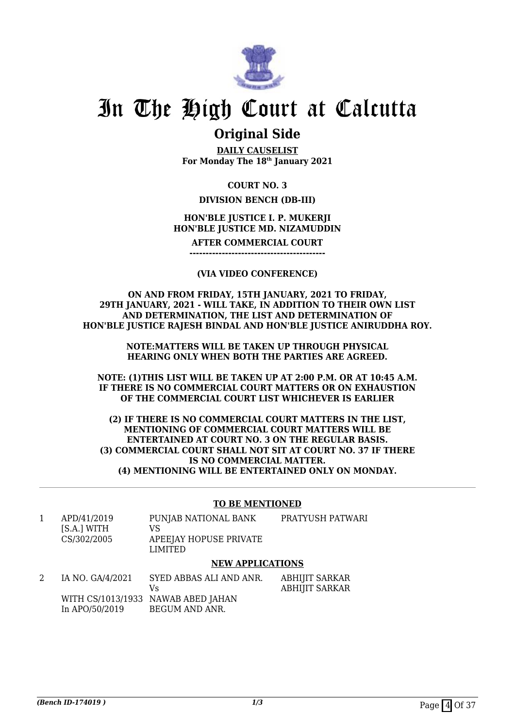

## **Original Side**

**DAILY CAUSELIST For Monday The 18th January 2021**

### **COURT NO. 3**

### **DIVISION BENCH (DB-III)**

### **HON'BLE JUSTICE I. P. MUKERJI HON'BLE JUSTICE MD. NIZAMUDDIN**

**AFTER COMMERCIAL COURT**

**------------------------------------------**

### **(VIA VIDEO CONFERENCE)**

**ON AND FROM FRIDAY, 15TH JANUARY, 2021 TO FRIDAY, 29TH JANUARY, 2021 - WILL TAKE, IN ADDITION TO THEIR OWN LIST AND DETERMINATION, THE LIST AND DETERMINATION OF HON'BLE JUSTICE RAJESH BINDAL AND HON'BLE JUSTICE ANIRUDDHA ROY.**

> **NOTE:MATTERS WILL BE TAKEN UP THROUGH PHYSICAL HEARING ONLY WHEN BOTH THE PARTIES ARE AGREED.**

**NOTE: (1)THIS LIST WILL BE TAKEN UP AT 2:00 P.M. OR AT 10:45 A.M. IF THERE IS NO COMMERCIAL COURT MATTERS OR ON EXHAUSTION OF THE COMMERCIAL COURT LIST WHICHEVER IS EARLIER**

**(2) IF THERE IS NO COMMERCIAL COURT MATTERS IN THE LIST, MENTIONING OF COMMERCIAL COURT MATTERS WILL BE ENTERTAINED AT COURT NO. 3 ON THE REGULAR BASIS. (3) COMMERCIAL COURT SHALL NOT SIT AT COURT NO. 37 IF THERE IS NO COMMERCIAL MATTER. (4) MENTIONING WILL BE ENTERTAINED ONLY ON MONDAY.**

#### **TO BE MENTIONED**

1 APD/41/2019 [S.A.] WITH CS/302/2005 PUNJAB NATIONAL BANK VS APEEJAY HOPUSE PRIVATE LIMITED PRATYUSH PATWARI

### **NEW APPLICATIONS**

| IA NO. GA/4/2021 | SYED ABBAS ALI AND ANR.            | ABHIJIT SARKAR |
|------------------|------------------------------------|----------------|
|                  | Vs.                                | ABHIJIT SARKAR |
|                  | WITH CS/1013/1933 NAWAB ABED JAHAN |                |
| In APO/50/2019   | BEGUM AND ANR.                     |                |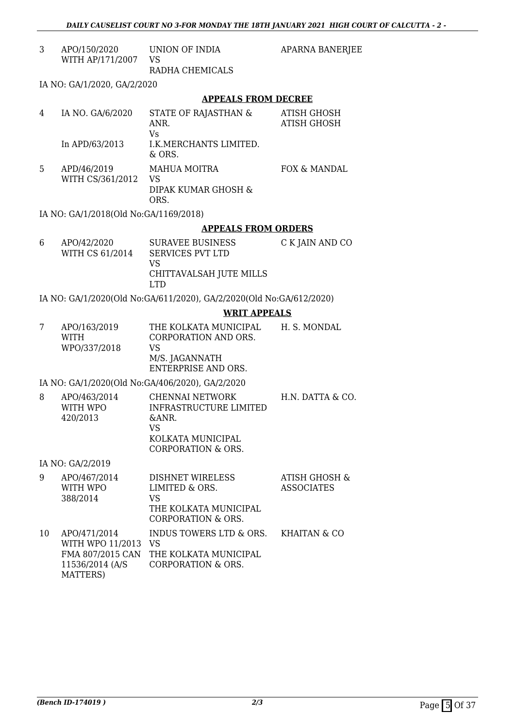| 3 | APO/150/2020 UNION OF INDIA<br>WITH AP/171/2007 VS | RADHA CHEMICALS                                    | <b>APARNA BANERJEE</b>     |
|---|----------------------------------------------------|----------------------------------------------------|----------------------------|
|   |                                                    |                                                    |                            |
|   | IA NO: GA/1/2020, GA/2/2020                        |                                                    |                            |
|   |                                                    | <b>APPEALS FROM DECREE</b>                         |                            |
| 4 | IA NO. GA/6/2020                                   | STATE OF RAJASTHAN &<br>ANR.<br>Vs.                | ATISH GHOSH<br>ATISH GHOSH |
|   | In APD/63/2013                                     | I.K.MERCHANTS LIMITED.<br>$&$ ORS.                 |                            |
| 5 | APD/46/2019<br>WITH CS/361/2012                    | MAHUA MOITRA<br>VS.<br>DIPAK KUMAR GHOSH &<br>ORS. | FOX & MANDAL               |
|   | IA NO: GA/1/2018(Old No:GA/1169/2018)              |                                                    |                            |
|   |                                                    | <b>APPEALS FROM ORDERS</b>                         |                            |
| 6 | APO/42/2020<br>WITH CS 61/2014                     | SURAVEE BUSINESS<br><b>SERVICES PVT LTD</b><br>VS  | C K JAIN AND CO            |

IA NO: GA/1/2020(Old No:GA/611/2020), GA/2/2020(Old No:GA/612/2020)

LTD

CHITTAVALSAH JUTE MILLS

#### **WRIT APPEALS**

| APO/163/2019<br><b>WITH</b> | THE KOLKATA MUNICIPAL<br>CORPORATION AND ORS. | H. S. MONDAL |
|-----------------------------|-----------------------------------------------|--------------|
| WPO/337/2018                | VS                                            |              |
|                             | M/S. JAGANNATH                                |              |
|                             | ENTERPRISE AND ORS.                           |              |

IA NO: GA/1/2020(Old No:GA/406/2020), GA/2/2020

| 8 | APO/463/2014<br>WITH WPO<br>420/2013 | CHENNAI NETWORK<br>INFRASTRUCTURE LIMITED<br>$\&$ ANR.<br>VS<br>KOLKATA MUNICIPAL | H.N. DATTA & CO. |
|---|--------------------------------------|-----------------------------------------------------------------------------------|------------------|
|   |                                      |                                                                                   |                  |
|   |                                      | CORPORATION & ORS.                                                                |                  |

IA NO: GA/2/2019

| 9  | APO/467/2014<br>WITH WPO<br>388/2014                                                | <b>DISHNET WIRELESS</b><br>LIMITED & ORS.<br>VS<br>THE KOLKATA MUNICIPAL<br><b>CORPORATION &amp; ORS.</b> | <b>ATISH GHOSH &amp;</b><br><b>ASSOCIATES</b> |
|----|-------------------------------------------------------------------------------------|-----------------------------------------------------------------------------------------------------------|-----------------------------------------------|
| 10 | APO/471/2014<br>WITH WPO 11/2013<br>FMA 807/2015 CAN<br>11536/2014 (A/S<br>MATTERS) | INDUS TOWERS LTD & ORS.<br>VS<br>THE KOLKATA MUNICIPAL<br><b>CORPORATION &amp; ORS.</b>                   | KHAITAN & CO                                  |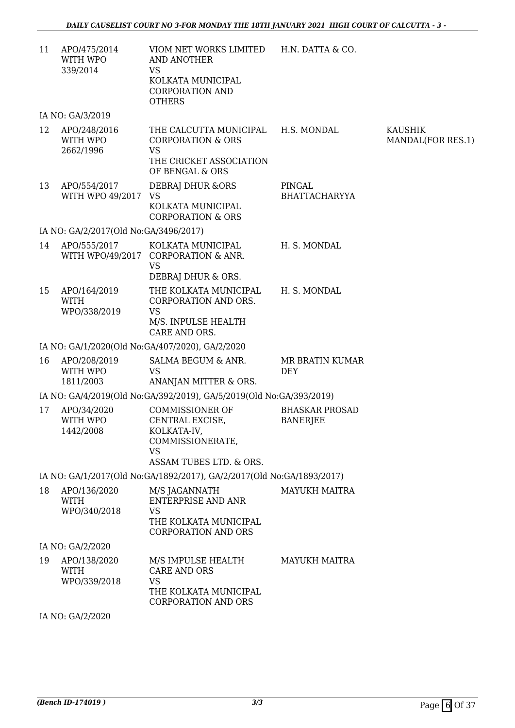| 11 | APO/475/2014<br>WITH WPO<br>339/2014        | VIOM NET WORKS LIMITED H.N. DATTA & CO.<br>AND ANOTHER<br><b>VS</b><br>KOLKATA MUNICIPAL<br><b>CORPORATION AND</b><br><b>OTHERS</b> |                                          |                                     |
|----|---------------------------------------------|-------------------------------------------------------------------------------------------------------------------------------------|------------------------------------------|-------------------------------------|
|    | IA NO: GA/3/2019                            |                                                                                                                                     |                                          |                                     |
| 12 | APO/248/2016<br>WITH WPO<br>2662/1996       | THE CALCUTTA MUNICIPAL<br><b>CORPORATION &amp; ORS</b><br><b>VS</b><br>THE CRICKET ASSOCIATION<br>OF BENGAL & ORS                   | H.S. MONDAL                              | <b>KAUSHIK</b><br>MANDAL(FOR RES.1) |
| 13 | APO/554/2017<br>WITH WPO 49/2017 VS         | DEBRAJ DHUR & ORS<br>KOLKATA MUNICIPAL<br><b>CORPORATION &amp; ORS</b>                                                              | PINGAL<br><b>BHATTACHARYYA</b>           |                                     |
|    | IA NO: GA/2/2017(Old No:GA/3496/2017)       |                                                                                                                                     |                                          |                                     |
| 14 | APO/555/2017                                | KOLKATA MUNICIPAL<br>WITH WPO/49/2017 CORPORATION & ANR.<br><b>VS</b><br>DEBRAJ DHUR & ORS.                                         | H. S. MONDAL                             |                                     |
| 15 | APO/164/2019<br><b>WITH</b><br>WPO/338/2019 | THE KOLKATA MUNICIPAL<br>CORPORATION AND ORS.<br><b>VS</b><br>M/S. INPULSE HEALTH<br>CARE AND ORS.                                  | H. S. MONDAL                             |                                     |
|    |                                             | IA NO: GA/1/2020(Old No:GA/407/2020), GA/2/2020                                                                                     |                                          |                                     |
| 16 | APO/208/2019<br>WITH WPO<br>1811/2003       | SALMA BEGUM & ANR.<br><b>VS</b><br>ANANJAN MITTER & ORS.                                                                            | MR BRATIN KUMAR<br><b>DEY</b>            |                                     |
|    |                                             | IA NO: GA/4/2019(Old No:GA/392/2019), GA/5/2019(Old No:GA/393/2019)                                                                 |                                          |                                     |
| 17 | APO/34/2020<br>WITH WPO<br>1442/2008        | <b>COMMISSIONER OF</b><br>CENTRAL EXCISE,<br>KOLKATA-IV,<br>COMMISSIONERATE,<br><b>VS</b><br>ASSAM TUBES LTD. & ORS.                | <b>BHASKAR PROSAD</b><br><b>BANERJEE</b> |                                     |
|    |                                             | IA NO: GA/1/2017(Old No:GA/1892/2017), GA/2/2017(Old No:GA/1893/2017)                                                               |                                          |                                     |
| 18 | APO/136/2020<br><b>WITH</b><br>WPO/340/2018 | M/S JAGANNATH<br><b>ENTERPRISE AND ANR</b><br><b>VS</b><br>THE KOLKATA MUNICIPAL<br><b>CORPORATION AND ORS</b>                      | <b>MAYUKH MAITRA</b>                     |                                     |
|    | IA NO: GA/2/2020                            |                                                                                                                                     |                                          |                                     |
| 19 | APO/138/2020<br><b>WITH</b><br>WPO/339/2018 | M/S IMPULSE HEALTH<br><b>CARE AND ORS</b><br><b>VS</b><br>THE KOLKATA MUNICIPAL<br><b>CORPORATION AND ORS</b>                       | <b>MAYUKH MAITRA</b>                     |                                     |
|    | IA NO: GA/2/2020                            |                                                                                                                                     |                                          |                                     |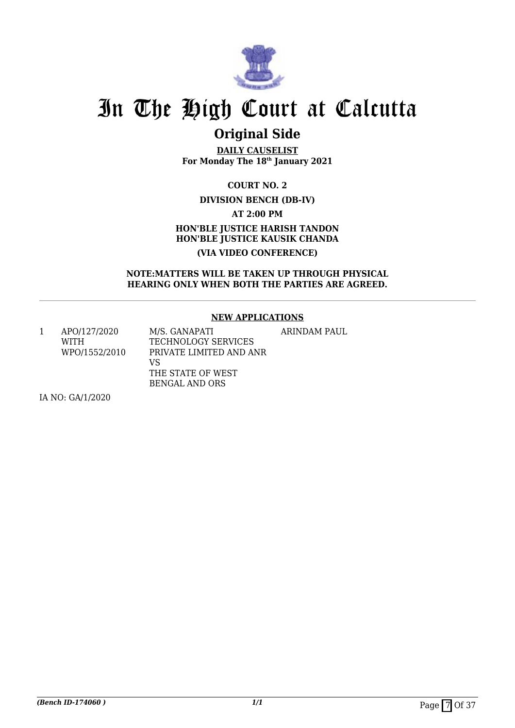

## **Original Side**

**DAILY CAUSELIST For Monday The 18th January 2021**

> **COURT NO. 2 DIVISION BENCH (DB-IV)**

> > **AT 2:00 PM**

## **HON'BLE JUSTICE HARISH TANDON HON'BLE JUSTICE KAUSIK CHANDA (VIA VIDEO CONFERENCE)**

### **NOTE:MATTERS WILL BE TAKEN UP THROUGH PHYSICAL HEARING ONLY WHEN BOTH THE PARTIES ARE AGREED.**

### **NEW APPLICATIONS**

1 APO/127/2020 WITH WPO/1552/2010 M/S. GANAPATI TECHNOLOGY SERVICES PRIVATE LIMITED AND ANR VS THE STATE OF WEST BENGAL AND ORS ARINDAM PAUL

IA NO: GA/1/2020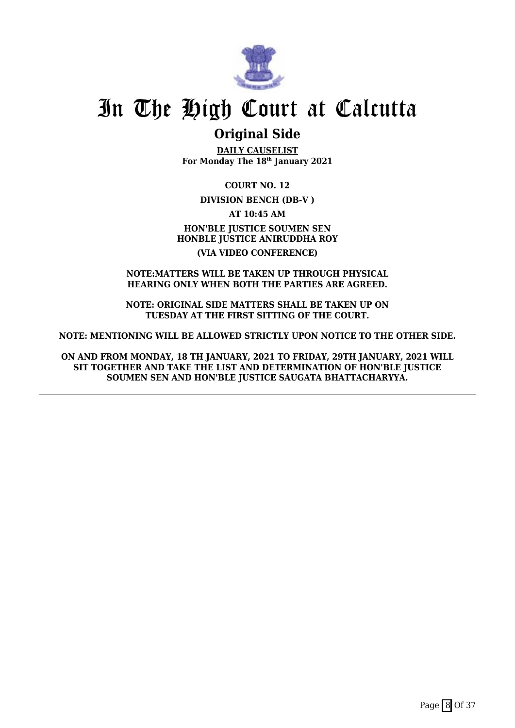

## **Original Side**

**DAILY CAUSELIST For Monday The 18th January 2021**

**COURT NO. 12**

**DIVISION BENCH (DB-V )**

**AT 10:45 AM HON'BLE JUSTICE SOUMEN SEN HONBLE JUSTICE ANIRUDDHA ROY (VIA VIDEO CONFERENCE)**

#### **NOTE:MATTERS WILL BE TAKEN UP THROUGH PHYSICAL HEARING ONLY WHEN BOTH THE PARTIES ARE AGREED.**

**NOTE: ORIGINAL SIDE MATTERS SHALL BE TAKEN UP ON TUESDAY AT THE FIRST SITTING OF THE COURT.**

**NOTE: MENTIONING WILL BE ALLOWED STRICTLY UPON NOTICE TO THE OTHER SIDE.**

**ON AND FROM MONDAY, 18 TH JANUARY, 2021 TO FRIDAY, 29TH JANUARY, 2021 WILL SIT TOGETHER AND TAKE THE LIST AND DETERMINATION OF HON'BLE JUSTICE SOUMEN SEN AND HON'BLE JUSTICE SAUGATA BHATTACHARYYA.**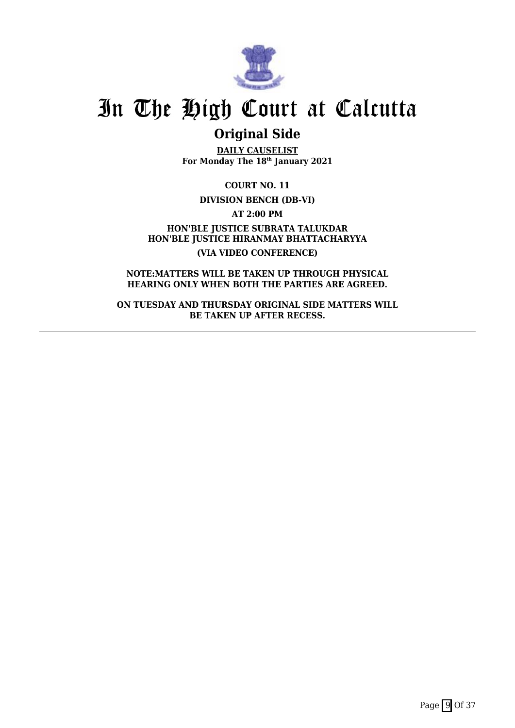

## **Original Side**

**DAILY CAUSELIST For Monday The 18th January 2021**

**COURT NO. 11**

**DIVISION BENCH (DB-VI)**

**AT 2:00 PM**

**HON'BLE JUSTICE SUBRATA TALUKDAR HON'BLE JUSTICE HIRANMAY BHATTACHARYYA (VIA VIDEO CONFERENCE)**

**NOTE:MATTERS WILL BE TAKEN UP THROUGH PHYSICAL HEARING ONLY WHEN BOTH THE PARTIES ARE AGREED.**

**ON TUESDAY AND THURSDAY ORIGINAL SIDE MATTERS WILL BE TAKEN UP AFTER RECESS.**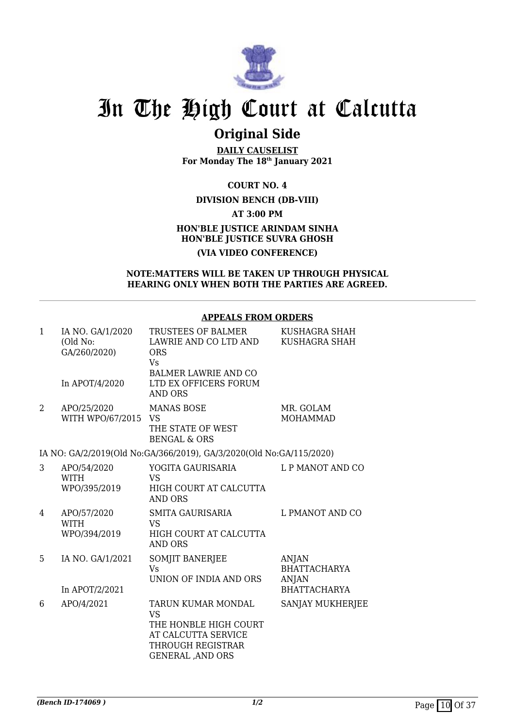

## **Original Side**

**DAILY CAUSELIST For Monday The 18th January 2021**

**COURT NO. 4**

### **DIVISION BENCH (DB-VIII)**

**AT 3:00 PM**

### **HON'BLE JUSTICE ARINDAM SINHA HON'BLE JUSTICE SUVRA GHOSH (VIA VIDEO CONFERENCE)**

#### **NOTE:MATTERS WILL BE TAKEN UP THROUGH PHYSICAL HEARING ONLY WHEN BOTH THE PARTIES ARE AGREED.**

### **APPEALS FROM ORDERS**

| $\mathbf{1}$   | IA NO. GA/1/2020<br>(Old No:<br>GA/260/2020)<br>In APOT/4/2020 | TRUSTEES OF BALMER<br>LAWRIE AND CO LTD AND<br><b>ORS</b><br>Vs<br><b>BALMER LAWRIE AND CO</b><br>LTD EX OFFICERS FORUM<br><b>AND ORS</b> | KUSHAGRA SHAH<br>KUSHAGRA SHAH                                             |
|----------------|----------------------------------------------------------------|-------------------------------------------------------------------------------------------------------------------------------------------|----------------------------------------------------------------------------|
| $\overline{2}$ | APO/25/2020<br>WITH WPO/67/2015 VS                             | <b>MANAS BOSE</b><br>THE STATE OF WEST<br><b>BENGAL &amp; ORS</b>                                                                         | MR. GOLAM<br><b>MOHAMMAD</b>                                               |
|                |                                                                | IA NO: GA/2/2019(Old No:GA/366/2019), GA/3/2020(Old No:GA/115/2020)                                                                       |                                                                            |
| 3              | APO/54/2020<br><b>WITH</b><br>WPO/395/2019                     | YOGITA GAURISARIA<br><b>VS</b><br>HIGH COURT AT CALCUTTA<br><b>AND ORS</b>                                                                | L P MANOT AND CO                                                           |
| 4              | APO/57/2020<br><b>WITH</b><br>WPO/394/2019                     | <b>SMITA GAURISARIA</b><br><b>VS</b><br>HIGH COURT AT CALCUTTA<br><b>AND ORS</b>                                                          | L PMANOT AND CO                                                            |
| 5              | IA NO. GA/1/2021<br>In APOT/2/2021                             | SOMJIT BANERJEE<br><b>V<sub>S</sub></b><br>UNION OF INDIA AND ORS                                                                         | <b>ANJAN</b><br><b>BHATTACHARYA</b><br><b>ANJAN</b><br><b>BHATTACHARYA</b> |
| 6              | APO/4/2021                                                     | <b>TARUN KUMAR MONDAL</b><br><b>VS</b><br>THE HONBLE HIGH COURT<br>AT CALCUTTA SERVICE<br>THROUGH REGISTRAR<br><b>GENERAL , AND ORS</b>   | SANJAY MUKHERJEE                                                           |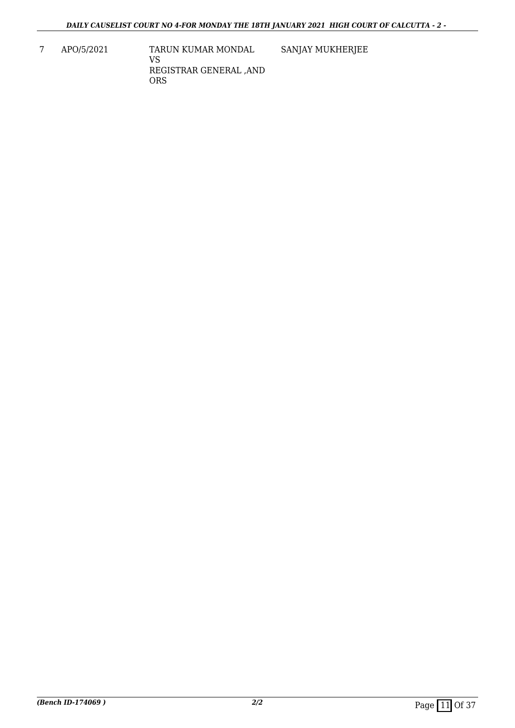SANJAY MUKHERJEE

7 APO/5/2021 TARUN KUMAR MONDAL VS REGISTRAR GENERAL ,AND ORS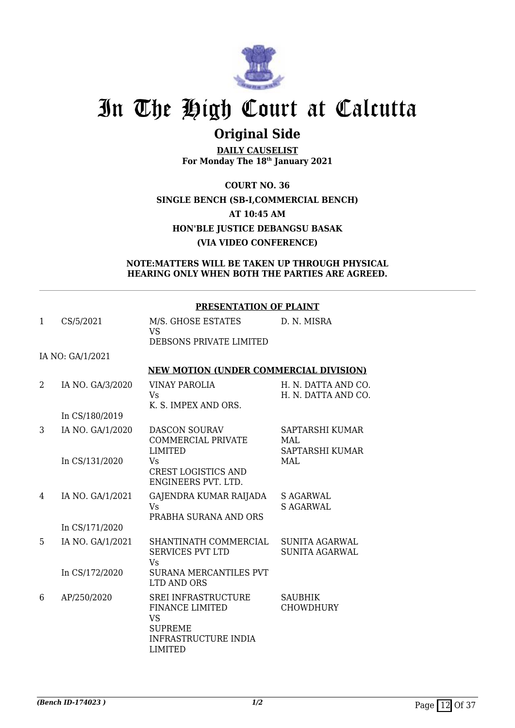

## **Original Side**

**DAILY CAUSELIST For Monday The 18th January 2021**

**COURT NO. 36 SINGLE BENCH (SB-I,COMMERCIAL BENCH) AT 10:45 AM HON'BLE JUSTICE DEBANGSU BASAK (VIA VIDEO CONFERENCE)**

### **NOTE:MATTERS WILL BE TAKEN UP THROUGH PHYSICAL HEARING ONLY WHEN BOTH THE PARTIES ARE AGREED.**

### **PRESENTATION OF PLAINT**

| 1 | CS/5/2021        | M/S. GHOSE ESTATES<br><b>VS</b>                                                                                                      | D. N. MISRA                                |
|---|------------------|--------------------------------------------------------------------------------------------------------------------------------------|--------------------------------------------|
|   |                  | DEBSONS PRIVATE LIMITED                                                                                                              |                                            |
|   | IA NO: GA/1/2021 |                                                                                                                                      |                                            |
|   |                  | <b>NEW MOTION (UNDER COMMERCIAL DIVISION)</b>                                                                                        |                                            |
| 2 | IA NO. GA/3/2020 | <b>VINAY PAROLIA</b><br>Vs<br>K. S. IMPEX AND ORS.                                                                                   | H. N. DATTA AND CO.<br>H. N. DATTA AND CO. |
|   | In CS/180/2019   |                                                                                                                                      |                                            |
| 3 | IA NO. GA/1/2020 | <b>DASCON SOURAV</b><br><b>COMMERCIAL PRIVATE</b><br><b>LIMITED</b>                                                                  | SAPTARSHI KUMAR<br>MAL<br>SAPTARSHI KUMAR  |
|   | In CS/131/2020   | Vs<br><b>CREST LOGISTICS AND</b><br>ENGINEERS PVT. LTD.                                                                              | <b>MAL</b>                                 |
| 4 | IA NO. GA/1/2021 | GAJENDRA KUMAR RAIJADA<br><b>Vs</b><br>PRABHA SURANA AND ORS                                                                         | <b>S AGARWAL</b><br><b>S AGARWAL</b>       |
|   | In CS/171/2020   |                                                                                                                                      |                                            |
| 5 | IA NO. GA/1/2021 | SHANTINATH COMMERCIAL<br><b>SERVICES PVT LTD</b><br><b>Vs</b>                                                                        | SUNITA AGARWAL<br><b>SUNITA AGARWAL</b>    |
|   | In CS/172/2020   | <b>SURANA MERCANTILES PVT</b><br><b>LTD AND ORS</b>                                                                                  |                                            |
| 6 | AP/250/2020      | <b>SREI INFRASTRUCTURE</b><br><b>FINANCE LIMITED</b><br><b>VS</b><br><b>SUPREME</b><br><b>INFRASTRUCTURE INDIA</b><br><b>LIMITED</b> | <b>SAUBHIK</b><br><b>CHOWDHURY</b>         |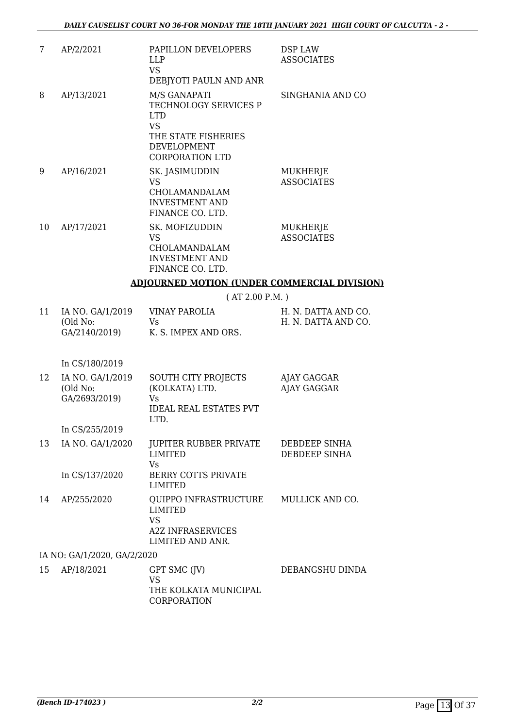| 7  | AP/2/2021                                     | PAPILLON DEVELOPERS<br><b>LLP</b><br><b>VS</b><br>DEBJYOTI PAULN AND ANR                                                                | DSP LAW<br><b>ASSOCIATES</b>               |
|----|-----------------------------------------------|-----------------------------------------------------------------------------------------------------------------------------------------|--------------------------------------------|
| 8  | AP/13/2021                                    | M/S GANAPATI<br>TECHNOLOGY SERVICES P<br><b>LTD</b><br><b>VS</b><br>THE STATE FISHERIES<br><b>DEVELOPMENT</b><br><b>CORPORATION LTD</b> | SINGHANIA AND CO                           |
| 9  | AP/16/2021                                    | SK. JASIMUDDIN<br><b>VS</b><br>CHOLAMANDALAM<br><b>INVESTMENT AND</b><br>FINANCE CO. LTD.                                               | MUKHERJE<br><b>ASSOCIATES</b>              |
| 10 | AP/17/2021                                    | SK. MOFIZUDDIN<br><b>VS</b><br>CHOLAMANDALAM<br><b>INVESTMENT AND</b><br>FINANCE CO. LTD.                                               | MUKHERJE<br><b>ASSOCIATES</b>              |
|    |                                               | <b>ADJOURNED MOTION (UNDER COMMERCIAL DIVISION)</b>                                                                                     |                                            |
|    |                                               | (AT 2.00 P.M.)                                                                                                                          |                                            |
| 11 | IA NO. GA/1/2019<br>(Old No:<br>GA/2140/2019) | <b>VINAY PAROLIA</b><br>Vs<br>K. S. IMPEX AND ORS.                                                                                      | H. N. DATTA AND CO.<br>H. N. DATTA AND CO. |
|    | In CS/180/2019                                |                                                                                                                                         |                                            |
| 12 | IA NO. GA/1/2019<br>(Old No:<br>GA/2693/2019) | SOUTH CITY PROJECTS<br>(KOLKATA) LTD.<br>Vs<br><b>IDEAL REAL ESTATES PVT</b><br>LTD.                                                    | AJAY GAGGAR<br><b>AJAY GAGGAR</b>          |
|    | In CS/255/2019                                |                                                                                                                                         |                                            |
| 13 | IA NO. GA/1/2020                              | JUPITER RUBBER PRIVATE<br><b>LIMITED</b><br>Vs                                                                                          | DEBDEEP SINHA<br>DEBDEEP SINHA             |
|    | In CS/137/2020                                | <b>BERRY COTTS PRIVATE</b><br><b>LIMITED</b>                                                                                            |                                            |
| 14 | AP/255/2020                                   | QUIPPO INFRASTRUCTURE<br>LIMITED<br><b>VS</b><br><b>A2Z INFRASERVICES</b><br>LIMITED AND ANR.                                           | MULLICK AND CO.                            |
|    | IA NO: GA/1/2020, GA/2/2020                   |                                                                                                                                         |                                            |
|    | $1.5$ $\Lambda$ D/10/2021                     | $CDT$ $CMC$ $(TU)$                                                                                                                      | <b>DEDAMOCULL DIMINA</b>                   |

15 AP/18/2021 GPT SMC (JV) VS THE KOLKATA MUNICIPAL CORPORATION DEBANGSHU DINDA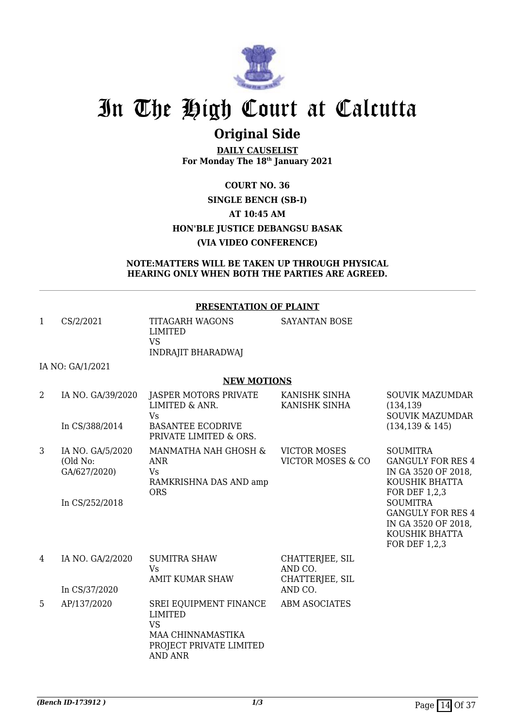

## **Original Side**

**DAILY CAUSELIST For Monday The 18th January 2021**

## **COURT NO. 36 SINGLE BENCH (SB-I) AT 10:45 AM HON'BLE JUSTICE DEBANGSU BASAK (VIA VIDEO CONFERENCE)**

#### **NOTE:MATTERS WILL BE TAKEN UP THROUGH PHYSICAL HEARING ONLY WHEN BOTH THE PARTIES ARE AGREED.**

### **PRESENTATION OF PLAINT**

| CS/2/2021 | TITAGARH WAGONS<br>LIMITED | SAYANTAN BOSE |
|-----------|----------------------------|---------------|
|           | VS<br>INDRAJIT BHARADWAJ   |               |

IA NO: GA/1/2021

#### **NEW MOTIONS**

| 2 | IA NO. GA/39/2020<br>In CS/388/2014                            | JASPER MOTORS PRIVATE<br>LIMITED & ANR.<br>Vs.<br><b>BASANTEE ECODRIVE</b><br>PRIVATE LIMITED & ORS.      | KANISHK SINHA<br>KANISHK SINHA                | <b>SOUVIK MAZUMDAR</b><br>(134, 139)<br><b>SOUVIK MAZUMDAR</b><br>$(134, 139 \& 145)$                                    |
|---|----------------------------------------------------------------|-----------------------------------------------------------------------------------------------------------|-----------------------------------------------|--------------------------------------------------------------------------------------------------------------------------|
| 3 | IA NO. GA/5/2020<br>(Old No:<br>GA/627/2020)<br>In CS/252/2018 | MANMATHA NAH GHOSH &<br><b>ANR</b><br>Vs.<br>RAMKRISHNA DAS AND amp<br><b>ORS</b>                         | <b>VICTOR MOSES</b><br>VICTOR MOSES & CO      | <b>SOUMITRA</b><br><b>GANGULY FOR RES 4</b><br>IN GA 3520 OF 2018,<br>KOUSHIK BHATTA<br>FOR DEF 1,2,3<br><b>SOUMITRA</b> |
|   |                                                                |                                                                                                           |                                               | <b>GANGULY FOR RES 4</b><br>IN GA 3520 OF 2018,<br>KOUSHIK BHATTA<br>FOR DEF 1,2,3                                       |
| 4 | IA NO. GA/2/2020                                               | <b>SUMITRA SHAW</b><br><b>Vs</b><br><b>AMIT KUMAR SHAW</b>                                                | CHATTERJEE, SIL<br>AND CO.<br>CHATTERJEE, SIL |                                                                                                                          |
|   | In CS/37/2020                                                  |                                                                                                           | AND CO.                                       |                                                                                                                          |
| 5 | AP/137/2020                                                    | SREI EQUIPMENT FINANCE<br>LIMITED<br><b>VS</b><br>MAA CHINNAMASTIKA<br>PROJECT PRIVATE LIMITED<br>AND ANR | <b>ABM ASOCIATES</b>                          |                                                                                                                          |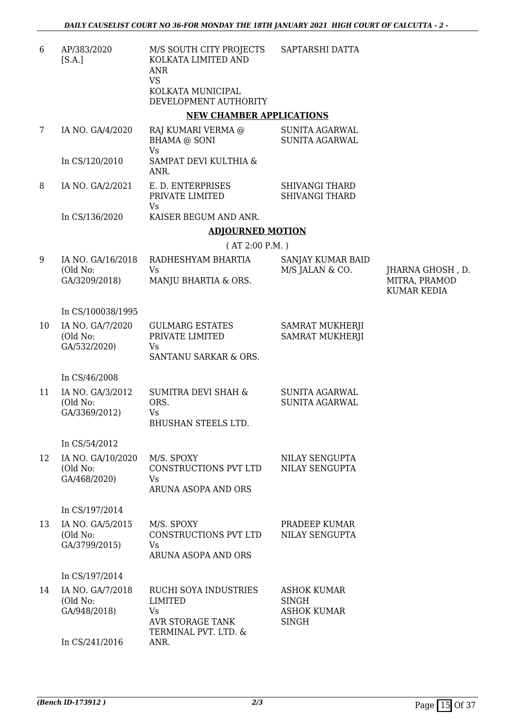| 6  | AP/383/2020<br>[S.A.]                          | M/S SOUTH CITY PROJECTS<br>KOLKATA LIMITED AND<br><b>ANR</b><br><b>VS</b><br>KOLKATA MUNICIPAL<br>DEVELOPMENT AUTHORITY | SAPTARSHI DATTA                                                   |                                                         |
|----|------------------------------------------------|-------------------------------------------------------------------------------------------------------------------------|-------------------------------------------------------------------|---------------------------------------------------------|
|    |                                                | <b>NEW CHAMBER APPLICATIONS</b>                                                                                         |                                                                   |                                                         |
| 7  | IA NO. GA/4/2020                               | RAJ KUMARI VERMA @<br><b>BHAMA @ SONI</b><br><b>Vs</b>                                                                  | <b>SUNITA AGARWAL</b><br><b>SUNITA AGARWAL</b>                    |                                                         |
|    | In CS/120/2010                                 | SAMPAT DEVI KULTHIA &<br>ANR.                                                                                           |                                                                   |                                                         |
| 8  | IA NO. GA/2/2021                               | E. D. ENTERPRISES<br>PRIVATE LIMITED                                                                                    | <b>SHIVANGI THARD</b><br><b>SHIVANGI THARD</b>                    |                                                         |
|    | In CS/136/2020                                 | <b>Vs</b><br>KAISER BEGUM AND ANR.                                                                                      |                                                                   |                                                         |
|    |                                                | <b>ADJOURNED MOTION</b>                                                                                                 |                                                                   |                                                         |
|    |                                                | (AT 2:00 P.M. )                                                                                                         |                                                                   |                                                         |
| 9  | IA NO. GA/16/2018<br>(Old No:<br>GA/3209/2018) | RADHESHYAM BHARTIA<br><b>Vs</b><br>MANJU BHARTIA & ORS.                                                                 | SANJAY KUMAR BAID<br>M/S JALAN & CO.                              | JHARNA GHOSH, D.<br>MITRA, PRAMOD<br><b>KUMAR KEDIA</b> |
|    | In CS/100038/1995                              |                                                                                                                         |                                                                   |                                                         |
| 10 | IA NO. GA/7/2020<br>(Old No:<br>GA/532/2020)   | <b>GULMARG ESTATES</b><br>PRIVATE LIMITED<br>Vs<br>SANTANU SARKAR & ORS.                                                | SAMRAT MUKHERJI<br><b>SAMRAT MUKHERJI</b>                         |                                                         |
|    | In CS/46/2008                                  |                                                                                                                         |                                                                   |                                                         |
| 11 | IA NO. GA/3/2012<br>(Old No:<br>GA/3369/2012)  | <b>SUMITRA DEVI SHAH &amp;</b><br>ORS.<br>Vs<br><b>BHUSHAN STEELS LTD</b>                                               | <b>SUNITA AGARWAL</b><br><b>SUNITA AGARWAL</b>                    |                                                         |
|    | In CS/54/2012                                  |                                                                                                                         |                                                                   |                                                         |
| 12 | IA NO. GA/10/2020<br>(Old No:<br>GA/468/2020)  | M/S. SPOXY<br>CONSTRUCTIONS PVT LTD<br>Vs<br>ARUNA ASOPA AND ORS                                                        | NILAY SENGUPTA<br>NILAY SENGUPTA                                  |                                                         |
|    | In CS/197/2014                                 |                                                                                                                         |                                                                   |                                                         |
| 13 | IA NO. GA/5/2015<br>(Old No:<br>GA/3799/2015)  | M/S. SPOXY<br>CONSTRUCTIONS PVT LTD<br><b>Vs</b><br>ARUNA ASOPA AND ORS                                                 | PRADEEP KUMAR<br>NILAY SENGUPTA                                   |                                                         |
|    | In CS/197/2014                                 |                                                                                                                         |                                                                   |                                                         |
| 14 | IA NO. GA/7/2018<br>(Old No:<br>GA/948/2018)   | RUCHI SOYA INDUSTRIES<br><b>LIMITED</b><br><b>Vs</b><br>AVR STORAGE TANK                                                | <b>ASHOK KUMAR</b><br>SINGH<br><b>ASHOK KUMAR</b><br><b>SINGH</b> |                                                         |

In CS/241/2016

TERMINAL PVT. LTD. &

ANR.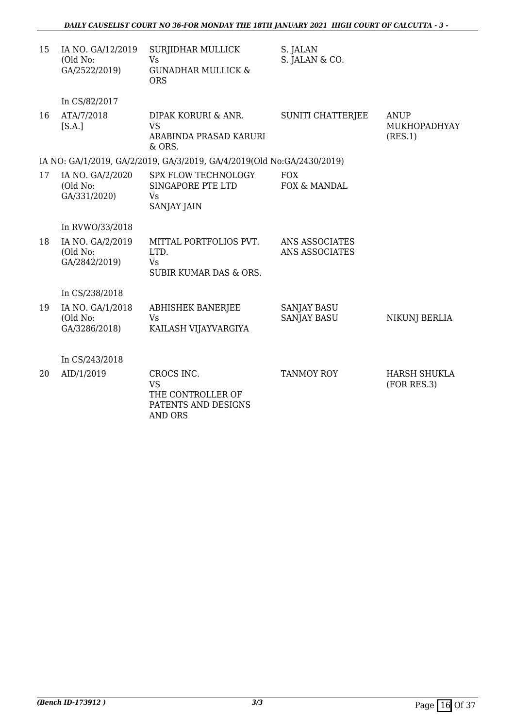| 15 | IA NO. GA/12/2019<br>(Old No:<br>GA/2522/2019) | SURJIDHAR MULLICK<br><b>Vs</b><br><b>GUNADHAR MULLICK &amp;</b><br><b>ORS</b>                 | S. JALAN<br>S. JALAN & CO.               |                                        |
|----|------------------------------------------------|-----------------------------------------------------------------------------------------------|------------------------------------------|----------------------------------------|
|    | In CS/82/2017                                  |                                                                                               |                                          |                                        |
| 16 | ATA/7/2018<br>[S.A.]                           | DIPAK KORURI & ANR.<br><b>VS</b><br>ARABINDA PRASAD KARURI<br>& ORS.                          | <b>SUNITI CHATTERJEE</b>                 | <b>ANUP</b><br>MUKHOPADHYAY<br>(RES.1) |
|    |                                                | IA NO: GA/1/2019, GA/2/2019, GA/3/2019, GA/4/2019(Old No:GA/2430/2019)                        |                                          |                                        |
| 17 | IA NO. GA/2/2020<br>(Old No:<br>GA/331/2020)   | <b>SPX FLOW TECHNOLOGY</b><br>SINGAPORE PTE LTD<br><b>V<sub>S</sub></b><br><b>SANJAY JAIN</b> | <b>FOX</b><br>FOX & MANDAL               |                                        |
|    | In RVWO/33/2018                                |                                                                                               |                                          |                                        |
| 18 | IA NO. GA/2/2019<br>(Old No:<br>GA/2842/2019)  | MITTAL PORTFOLIOS PVT.<br>LTD.<br><b>Vs</b><br>SUBIR KUMAR DAS & ORS.                         | ANS ASSOCIATES<br>ANS ASSOCIATES         |                                        |
|    | In CS/238/2018                                 |                                                                                               |                                          |                                        |
| 19 | IA NO. GA/1/2018<br>(Old No:<br>GA/3286/2018)  | <b>ABHISHEK BANERJEE</b><br><b>Vs</b><br>KAILASH VIJAYVARGIYA                                 | <b>SANJAY BASU</b><br><b>SANJAY BASU</b> | <b>NIKUNJ BERLIA</b>                   |
|    | In CS/243/2018                                 |                                                                                               |                                          |                                        |
| 20 | AID/1/2019                                     | CROCS INC.<br><b>VS</b><br>THE CONTROLLER OF<br>PATENTS AND DESIGNS<br><b>AND ORS</b>         | <b>TANMOY ROY</b>                        | <b>HARSH SHUKLA</b><br>(FOR RES.3)     |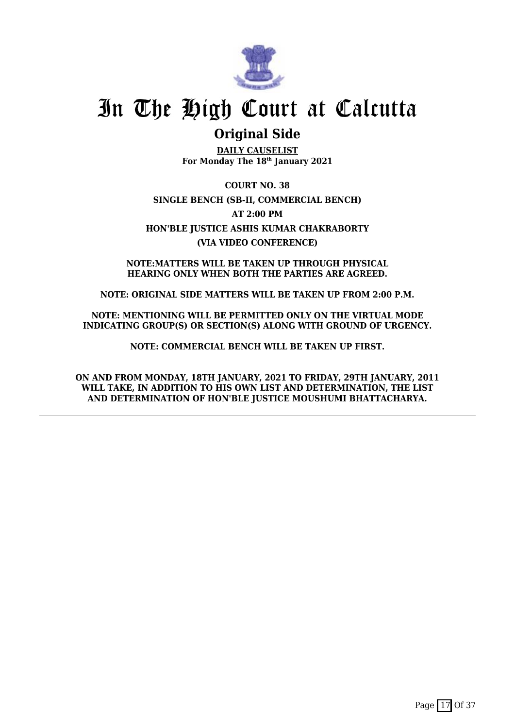

## **Original Side**

**DAILY CAUSELIST For Monday The 18th January 2021**

**COURT NO. 38 SINGLE BENCH (SB-II, COMMERCIAL BENCH) AT 2:00 PM HON'BLE JUSTICE ASHIS KUMAR CHAKRABORTY (VIA VIDEO CONFERENCE)**

**NOTE:MATTERS WILL BE TAKEN UP THROUGH PHYSICAL HEARING ONLY WHEN BOTH THE PARTIES ARE AGREED.**

**NOTE: ORIGINAL SIDE MATTERS WILL BE TAKEN UP FROM 2:00 P.M.**

**NOTE: MENTIONING WILL BE PERMITTED ONLY ON THE VIRTUAL MODE INDICATING GROUP(S) OR SECTION(S) ALONG WITH GROUND OF URGENCY.**

**NOTE: COMMERCIAL BENCH WILL BE TAKEN UP FIRST.**

**ON AND FROM MONDAY, 18TH JANUARY, 2021 TO FRIDAY, 29TH JANUARY, 2011 WILL TAKE, IN ADDITION TO HIS OWN LIST AND DETERMINATION, THE LIST AND DETERMINATION OF HON'BLE JUSTICE MOUSHUMI BHATTACHARYA.**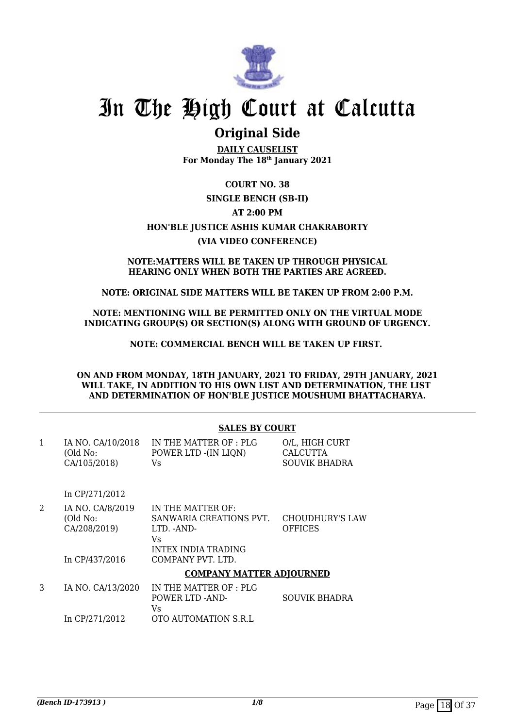

## **Original Side**

**DAILY CAUSELIST For Monday The 18th January 2021**

## **COURT NO. 38 SINGLE BENCH (SB-II) AT 2:00 PM HON'BLE JUSTICE ASHIS KUMAR CHAKRABORTY (VIA VIDEO CONFERENCE)**

#### **NOTE:MATTERS WILL BE TAKEN UP THROUGH PHYSICAL HEARING ONLY WHEN BOTH THE PARTIES ARE AGREED.**

### **NOTE: ORIGINAL SIDE MATTERS WILL BE TAKEN UP FROM 2:00 P.M.**

**NOTE: MENTIONING WILL BE PERMITTED ONLY ON THE VIRTUAL MODE INDICATING GROUP(S) OR SECTION(S) ALONG WITH GROUND OF URGENCY.**

**NOTE: COMMERCIAL BENCH WILL BE TAKEN UP FIRST.** 

**ON AND FROM MONDAY, 18TH JANUARY, 2021 TO FRIDAY, 29TH JANUARY, 2021 WILL TAKE, IN ADDITION TO HIS OWN LIST AND DETERMINATION, THE LIST AND DETERMINATION OF HON'BLE JUSTICE MOUSHUMI BHATTACHARYA.**

| <b>SALES BY COURT</b> |  |  |
|-----------------------|--|--|
|                       |  |  |

| IA NO. CA/10/2018 | IN THE MATTER OF : PLG | O/L, HIGH CURT |
|-------------------|------------------------|----------------|
| (Old No:          | POWER LTD -(IN LIQN)   | CALCUTTA       |
| CA/105/2018)      | Vs.                    | SOUVIK BHADRA  |

In CP/271/2012

- 2 IA NO. CA/8/2019 (Old No: CA/208/2019) In CP/437/2016 IN THE MATTER OF: SANWARIA CREATIONS PVT. LTD. -AND-Vs INTEX INDIA TRADING COMPANY PVT. LTD. CHOUDHURY'S LAW **OFFICES COMPANY MATTER ADJOURNED**
- 3 IA NO. CA/13/2020 In CP/271/2012 IN THE MATTER OF : PLG POWER LTD -AND-Vs OTO AUTOMATION S.R.L SOUVIK BHADRA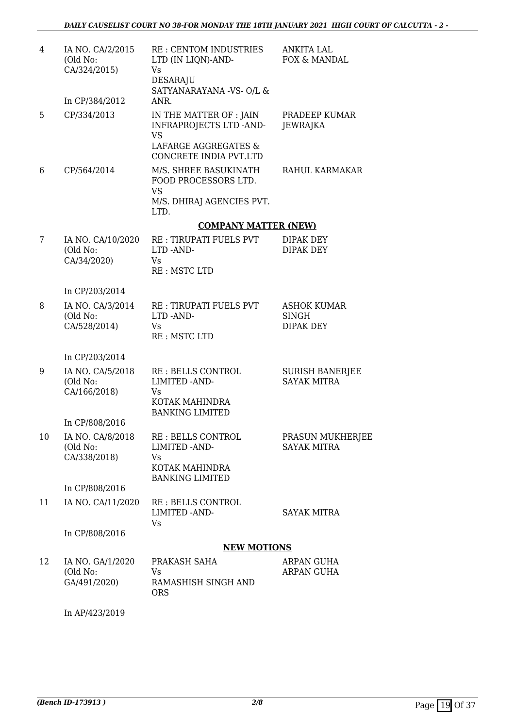| 4  | IA NO. CA/2/2015<br>(Old No:<br>CA/324/2015)<br>In CP/384/2012 | RE: CENTOM INDUSTRIES<br>LTD (IN LIQN)-AND-<br>Vs<br>DESARAJU<br>SATYANARAYANA -VS- O/L &<br>ANR.                 | ANKITA LAL<br>FOX & MANDAL                             |
|----|----------------------------------------------------------------|-------------------------------------------------------------------------------------------------------------------|--------------------------------------------------------|
| 5  | CP/334/2013                                                    | IN THE MATTER OF : JAIN<br><b>INFRAPROJECTS LTD -AND-</b><br><b>VS</b><br>LAFARGE AGGREGATES &                    | PRADEEP KUMAR<br>JEWRAJKA                              |
| 6  | CP/564/2014                                                    | CONCRETE INDIA PVT.LTD<br>M/S. SHREE BASUKINATH<br>FOOD PROCESSORS LTD.<br><b>VS</b><br>M/S. DHIRAJ AGENCIES PVT. | RAHUL KARMAKAR                                         |
|    |                                                                | LTD.                                                                                                              |                                                        |
|    |                                                                | <b>COMPANY MATTER (NEW)</b>                                                                                       |                                                        |
| 7  | IA NO. CA/10/2020<br>(Old No:<br>CA/34/2020)                   | <b>RE: TIRUPATI FUELS PVT</b><br>LTD-AND-<br>Vs<br>RE: MSTC LTD                                                   | DIPAK DEY<br><b>DIPAK DEY</b>                          |
|    | In CP/203/2014                                                 |                                                                                                                   |                                                        |
| 8  | IA NO. CA/3/2014<br>(Old No:<br>CA/528/2014)                   | <b>RE: TIRUPATI FUELS PVT</b><br>LTD-AND-<br>Vs<br>RE: MSTC LTD                                                   | <b>ASHOK KUMAR</b><br><b>SINGH</b><br><b>DIPAK DEY</b> |
|    | In CP/203/2014                                                 |                                                                                                                   |                                                        |
| 9  | IA NO. CA/5/2018<br>(Old No:<br>CA/166/2018)                   | RE: BELLS CONTROL<br>LIMITED - AND-<br>Vs<br>KOTAK MAHINDRA<br><b>BANKING LIMITED</b>                             | <b>SURISH BANERJEE</b><br><b>SAYAK MITRA</b>           |
|    | In CP/808/2016                                                 |                                                                                                                   |                                                        |
| 10 | IA NO. CA/8/2018<br>(Old No:<br>CA/338/2018)                   | RE: BELLS CONTROL<br>LIMITED - AND-<br>Vs<br>KOTAK MAHINDRA<br><b>BANKING LIMITED</b>                             | PRASUN MUKHERJEE<br><b>SAYAK MITRA</b>                 |
|    | In CP/808/2016                                                 |                                                                                                                   |                                                        |
| 11 | IA NO. CA/11/2020                                              | <b>RE: BELLS CONTROL</b><br>LIMITED -AND-<br>Vs                                                                   | <b>SAYAK MITRA</b>                                     |
|    | In CP/808/2016                                                 |                                                                                                                   |                                                        |
|    |                                                                | <b>NEW MOTIONS</b>                                                                                                |                                                        |
| 12 | IA NO. GA/1/2020<br>(Old No:<br>GA/491/2020)                   | PRAKASH SAHA<br>Vs<br>RAMASHISH SINGH AND<br><b>ORS</b>                                                           | ARPAN GUHA<br>ARPAN GUHA                               |

In AP/423/2019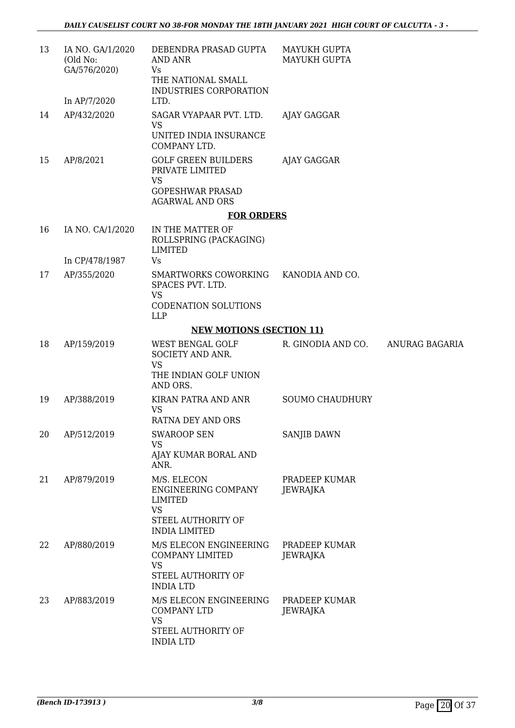| 13 | IA NO. GA/1/2020<br>(Old No:<br>GA/576/2020) | DEBENDRA PRASAD GUPTA<br><b>AND ANR</b><br>Vs<br>THE NATIONAL SMALL<br>INDUSTRIES CORPORATION | <b>MAYUKH GUPTA</b><br>MAYUKH GUPTA |  |
|----|----------------------------------------------|-----------------------------------------------------------------------------------------------|-------------------------------------|--|
|    | In AP/7/2020                                 | LTD.                                                                                          |                                     |  |
| 14 | AP/432/2020                                  | SAGAR VYAPAAR PVT. LTD.<br>VS<br>UNITED INDIA INSURANCE                                       | AJAY GAGGAR                         |  |
|    |                                              | COMPANY LTD.                                                                                  |                                     |  |
| 15 | AP/8/2021                                    | <b>GOLF GREEN BUILDERS</b><br>PRIVATE LIMITED<br><b>VS</b>                                    | AJAY GAGGAR                         |  |
|    |                                              | <b>GOPESHWAR PRASAD</b><br><b>AGARWAL AND ORS</b>                                             |                                     |  |
|    |                                              | <b>FOR ORDERS</b>                                                                             |                                     |  |
| 16 | IA NO. CA/1/2020                             | IN THE MATTER OF<br>ROLLSPRING (PACKAGING)<br><b>LIMITED</b>                                  |                                     |  |
|    | In CP/478/1987                               | Vs                                                                                            |                                     |  |
| 17 | AP/355/2020                                  | SMARTWORKS COWORKING<br>SPACES PVT. LTD.                                                      | KANODIA AND CO.                     |  |
|    |                                              | <b>VS</b><br><b>CODENATION SOLUTIONS</b><br><b>LLP</b>                                        |                                     |  |
|    |                                              | <b>NEW MOTIONS (SECTION 11)</b>                                                               |                                     |  |
| 18 | AP/159/2019                                  | WEST BENGAL GOLF<br>SOCIETY AND ANR.<br><b>VS</b>                                             | R. GINODIA AND CO. ANURAG BAGARIA   |  |
|    |                                              | THE INDIAN GOLF UNION<br>AND ORS.                                                             |                                     |  |
| 19 | AP/388/2019                                  | KIRAN PATRA AND ANR<br>VS<br>RATNA DEY AND ORS                                                | <b>SOUMO CHAUDHURY</b>              |  |
| 20 | AP/512/2019                                  | <b>SWAROOP SEN</b>                                                                            | SANJIB DAWN                         |  |
|    |                                              | <b>VS</b>                                                                                     |                                     |  |
|    |                                              | AJAY KUMAR BORAL AND<br>ANR.                                                                  |                                     |  |
| 21 | AP/879/2019                                  | M/S. ELECON<br><b>ENGINEERING COMPANY</b><br>LIMITED                                          | PRADEEP KUMAR<br>JEWRAJKA           |  |
|    |                                              | <b>VS</b><br>STEEL AUTHORITY OF<br><b>INDIA LIMITED</b>                                       |                                     |  |
| 22 | AP/880/2019                                  | M/S ELECON ENGINEERING<br><b>COMPANY LIMITED</b><br><b>VS</b>                                 | PRADEEP KUMAR<br>JEWRAJKA           |  |
|    |                                              | STEEL AUTHORITY OF<br><b>INDIA LTD</b>                                                        |                                     |  |
| 23 | AP/883/2019                                  | M/S ELECON ENGINEERING<br><b>COMPANY LTD</b><br><b>VS</b>                                     | PRADEEP KUMAR<br>JEWRAJKA           |  |
|    |                                              | STEEL AUTHORITY OF<br><b>INDIA LTD</b>                                                        |                                     |  |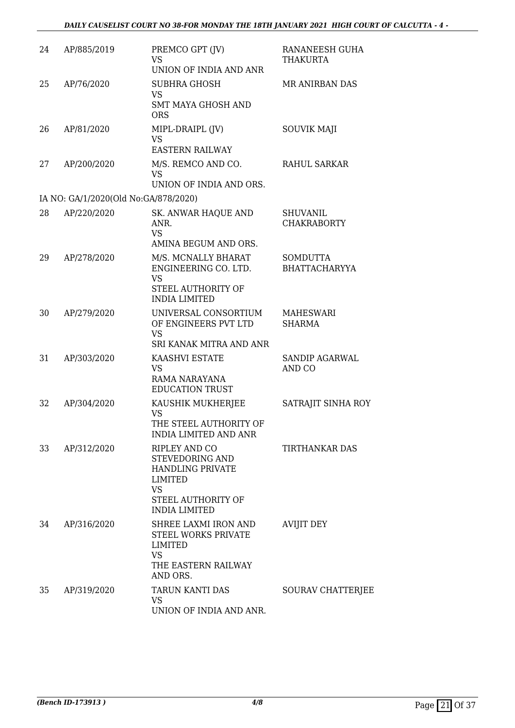| 24 | AP/885/2019                          | PREMCO GPT (JV)<br><b>VS</b><br>UNION OF INDIA AND ANR                                                                     | RANANEESH GUHA<br>THAKURTA              |
|----|--------------------------------------|----------------------------------------------------------------------------------------------------------------------------|-----------------------------------------|
| 25 | AP/76/2020                           | <b>SUBHRA GHOSH</b><br><b>VS</b><br><b>SMT MAYA GHOSH AND</b><br><b>ORS</b>                                                | <b>MR ANIRBAN DAS</b>                   |
| 26 | AP/81/2020                           | MIPL-DRAIPL (JV)<br><b>VS</b><br><b>EASTERN RAILWAY</b>                                                                    | <b>SOUVIK MAJI</b>                      |
| 27 | AP/200/2020                          | M/S. REMCO AND CO.<br><b>VS</b><br>UNION OF INDIA AND ORS.                                                                 | <b>RAHUL SARKAR</b>                     |
|    | IA NO: GA/1/2020(Old No:GA/878/2020) |                                                                                                                            |                                         |
| 28 | AP/220/2020                          | SK. ANWAR HAQUE AND<br>ANR.<br>VS.<br>AMINA BEGUM AND ORS.                                                                 | <b>SHUVANIL</b><br><b>CHAKRABORTY</b>   |
| 29 | AP/278/2020                          | M/S. MCNALLY BHARAT<br>ENGINEERING CO. LTD.<br><b>VS</b><br>STEEL AUTHORITY OF<br><b>INDIA LIMITED</b>                     | <b>SOMDUTTA</b><br><b>BHATTACHARYYA</b> |
| 30 | AP/279/2020                          | UNIVERSAL CONSORTIUM<br>OF ENGINEERS PVT LTD<br><b>VS</b><br>SRI KANAK MITRA AND ANR                                       | <b>MAHESWARI</b><br><b>SHARMA</b>       |
| 31 | AP/303/2020                          | KAASHVI ESTATE<br><b>VS</b><br>RAMA NARAYANA<br><b>EDUCATION TRUST</b>                                                     | SANDIP AGARWAL<br>AND CO                |
| 32 | AP/304/2020                          | KAUSHIK MUKHERJEE<br><b>VS</b><br>THE STEEL AUTHORITY OF<br><b>INDIA LIMITED AND ANR</b>                                   | SATRAJIT SINHA ROY                      |
| 33 | AP/312/2020                          | RIPLEY AND CO<br>STEVEDORING AND<br>HANDLING PRIVATE<br>LIMITED<br><b>VS</b><br>STEEL AUTHORITY OF<br><b>INDIA LIMITED</b> | <b>TIRTHANKAR DAS</b>                   |
| 34 | AP/316/2020                          | SHREE LAXMI IRON AND<br><b>STEEL WORKS PRIVATE</b><br>LIMITED<br><b>VS</b><br>THE EASTERN RAILWAY<br>AND ORS.              | <b>AVIJIT DEY</b>                       |
| 35 | AP/319/2020                          | TARUN KANTI DAS<br><b>VS</b><br>UNION OF INDIA AND ANR.                                                                    | SOURAV CHATTERJEE                       |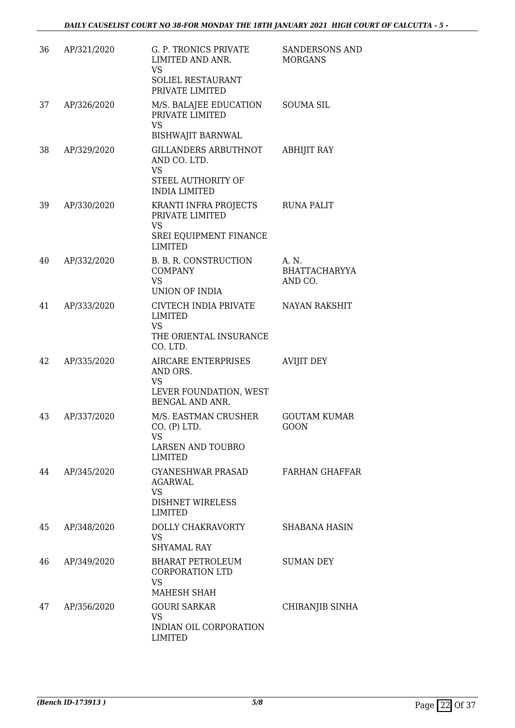| 36 | AP/321/2020 | G. P. TRONICS PRIVATE<br>LIMITED AND ANR.                                      | <b>SANDERSONS AND</b><br><b>MORGANS</b>  |
|----|-------------|--------------------------------------------------------------------------------|------------------------------------------|
|    |             | VS<br>SOLIEL RESTAURANT<br>PRIVATE LIMITED                                     |                                          |
| 37 | AP/326/2020 | M/S. BALAJEE EDUCATION<br>PRIVATE LIMITED<br><b>VS</b>                         | <b>SOUMA SIL</b>                         |
|    |             | <b>BISHWAJIT BARNWAL</b>                                                       |                                          |
| 38 | AP/329/2020 | <b>GILLANDERS ARBUTHNOT</b><br>AND CO. LTD.<br><b>VS</b><br>STEEL AUTHORITY OF | <b>ABHIJIT RAY</b>                       |
|    |             | <b>INDIA LIMITED</b>                                                           |                                          |
| 39 | AP/330/2020 | KRANTI INFRA PROJECTS<br>PRIVATE LIMITED<br><b>VS</b>                          | <b>RUNA PALIT</b>                        |
|    |             | SREI EQUIPMENT FINANCE<br><b>LIMITED</b>                                       |                                          |
| 40 | AP/332/2020 | B. B. R. CONSTRUCTION<br><b>COMPANY</b><br><b>VS</b><br><b>UNION OF INDIA</b>  | A. N.<br><b>BHATTACHARYYA</b><br>AND CO. |
| 41 | AP/333/2020 | CIVTECH INDIA PRIVATE                                                          | <b>NAYAN RAKSHIT</b>                     |
|    |             | LIMITED<br><b>VS</b>                                                           |                                          |
|    |             | THE ORIENTAL INSURANCE<br>CO. LTD.                                             |                                          |
| 42 | AP/335/2020 | AIRCARE ENTERPRISES<br>AND ORS.<br>VS<br>LEVER FOUNDATION, WEST                | <b>AVIJIT DEY</b>                        |
|    |             | BENGAL AND ANR.                                                                |                                          |
| 43 | AP/337/2020 | M/S. EASTMAN CRUSHER<br>CO. (P) LTD.<br>VS<br><b>LARSEN AND TOUBRO</b>         | <b>GOUTAM KUMAR</b><br><b>GOON</b>       |
|    |             | <b>LIMITED</b>                                                                 |                                          |
| 44 | AP/345/2020 | GYANESHWAR PRASAD<br>AGARWAL<br><b>VS</b>                                      | <b>FARHAN GHAFFAR</b>                    |
|    |             | <b>DISHNET WIRELESS</b><br><b>LIMITED</b>                                      |                                          |
| 45 | AP/348/2020 | DOLLY CHAKRAVORTY<br><b>VS</b><br><b>SHYAMAL RAY</b>                           | <b>SHABANA HASIN</b>                     |
| 46 | AP/349/2020 | BHARAT PETROLEUM<br><b>CORPORATION LTD</b><br><b>VS</b>                        | <b>SUMAN DEY</b>                         |
|    |             | MAHESH SHAH                                                                    |                                          |
| 47 | AP/356/2020 | <b>GOURI SARKAR</b><br><b>VS</b>                                               | CHIRANJIB SINHA                          |
|    |             | INDIAN OIL CORPORATION<br><b>LIMITED</b>                                       |                                          |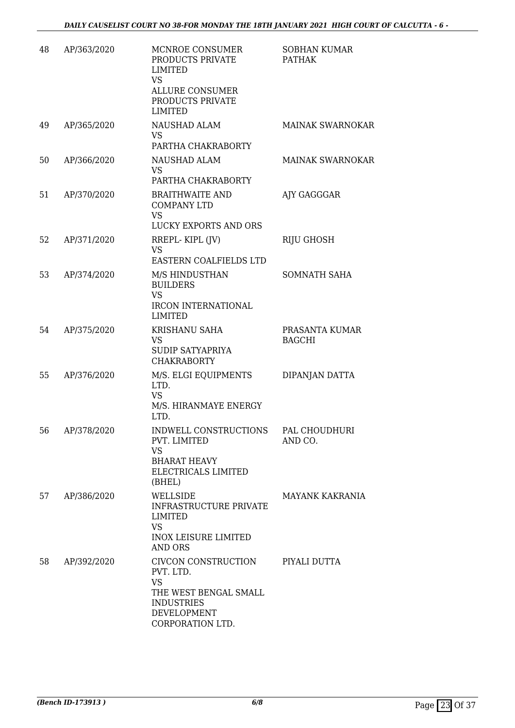| 48 | AP/363/2020 | MCNROE CONSUMER<br>PRODUCTS PRIVATE<br><b>LIMITED</b><br><b>VS</b><br><b>ALLURE CONSUMER</b><br>PRODUCTS PRIVATE<br><b>LIMITED</b> | <b>SOBHAN KUMAR</b><br><b>PATHAK</b> |
|----|-------------|------------------------------------------------------------------------------------------------------------------------------------|--------------------------------------|
| 49 | AP/365/2020 | <b>NAUSHAD ALAM</b><br><b>VS</b>                                                                                                   | <b>MAINAK SWARNOKAR</b>              |
| 50 | AP/366/2020 | PARTHA CHAKRABORTY<br>NAUSHAD ALAM<br><b>VS</b><br>PARTHA CHAKRABORTY                                                              | <b>MAINAK SWARNOKAR</b>              |
| 51 | AP/370/2020 | <b>BRAITHWAITE AND</b><br><b>COMPANY LTD</b><br><b>VS</b><br>LUCKY EXPORTS AND ORS                                                 | AJY GAGGGAR                          |
| 52 | AP/371/2020 | RREPL-KIPL (JV)<br><b>VS</b><br>EASTERN COALFIELDS LTD                                                                             | <b>RIJU GHOSH</b>                    |
| 53 | AP/374/2020 | M/S HINDUSTHAN<br><b>BUILDERS</b><br><b>VS</b><br><b>IRCON INTERNATIONAL</b><br><b>LIMITED</b>                                     | SOMNATH SAHA                         |
| 54 | AP/375/2020 | KRISHANU SAHA<br><b>VS</b><br><b>SUDIP SATYAPRIYA</b><br><b>CHAKRABORTY</b>                                                        | PRASANTA KUMAR<br><b>BAGCHI</b>      |
| 55 | AP/376/2020 | M/S. ELGI EQUIPMENTS<br>LTD.<br><b>VS</b><br>M/S. HIRANMAYE ENERGY<br>LTD.                                                         | DIPANJAN DATTA                       |
| 56 | AP/378/2020 | INDWELL CONSTRUCTIONS PAL CHOUDHURI<br>PVT. LIMITED<br><b>VS</b><br><b>BHARAT HEAVY</b><br>ELECTRICALS LIMITED<br>(BHEL)           | AND CO.                              |
| 57 | AP/386/2020 | WELLSIDE<br><b>INFRASTRUCTURE PRIVATE</b><br><b>LIMITED</b><br><b>VS</b><br><b>INOX LEISURE LIMITED</b><br><b>AND ORS</b>          | MAYANK KAKRANIA                      |
| 58 | AP/392/2020 | CIVCON CONSTRUCTION<br>PVT. LTD.<br><b>VS</b><br>THE WEST BENGAL SMALL<br><b>INDUSTRIES</b><br>DEVELOPMENT<br>CORPORATION LTD.     | PIYALI DUTTA                         |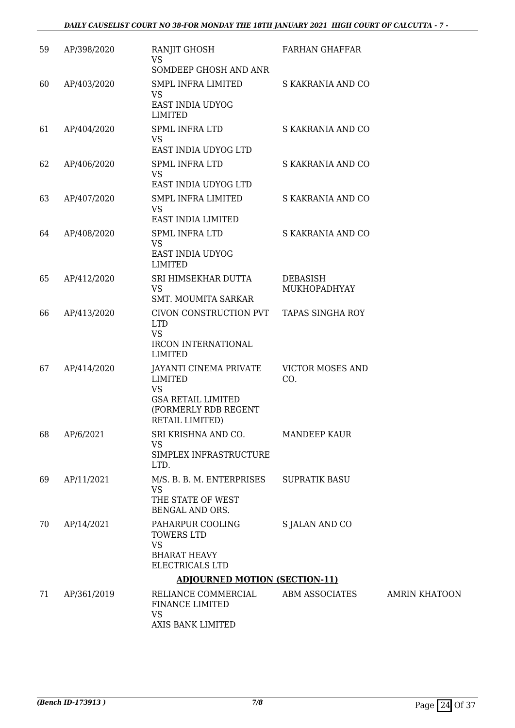| 59 | AP/398/2020 | RANJIT GHOSH<br><b>VS</b><br>SOMDEEP GHOSH AND ANR                                                                     | <b>FARHAN GHAFFAR</b>          |                      |
|----|-------------|------------------------------------------------------------------------------------------------------------------------|--------------------------------|----------------------|
| 60 | AP/403/2020 | SMPL INFRA LIMITED<br>VS<br>EAST INDIA UDYOG<br><b>LIMITED</b>                                                         | S KAKRANIA AND CO              |                      |
| 61 | AP/404/2020 | SPML INFRA LTD<br><b>VS</b><br>EAST INDIA UDYOG LTD                                                                    | S KAKRANIA AND CO              |                      |
| 62 | AP/406/2020 | <b>SPML INFRA LTD</b><br><b>VS</b><br>EAST INDIA UDYOG LTD                                                             | S KAKRANIA AND CO              |                      |
| 63 | AP/407/2020 | SMPL INFRA LIMITED<br><b>VS</b><br>EAST INDIA LIMITED                                                                  | S KAKRANIA AND CO              |                      |
| 64 | AP/408/2020 | <b>SPML INFRA LTD</b><br><b>VS</b><br>EAST INDIA UDYOG<br><b>LIMITED</b>                                               | S KAKRANIA AND CO              |                      |
| 65 | AP/412/2020 | SRI HIMSEKHAR DUTTA<br><b>VS</b><br><b>SMT. MOUMITA SARKAR</b>                                                         | DEBASISH<br>MUKHOPADHYAY       |                      |
| 66 | AP/413/2020 | CIVON CONSTRUCTION PVT<br><b>LTD</b><br><b>VS</b><br><b>IRCON INTERNATIONAL</b><br><b>LIMITED</b>                      | <b>TAPAS SINGHA ROY</b>        |                      |
| 67 | AP/414/2020 | JAYANTI CINEMA PRIVATE<br>LIMITED<br><b>VS</b><br><b>GSA RETAIL LIMITED</b><br>(FORMERLY RDB REGENT<br>RETAIL LIMITED) | <b>VICTOR MOSES AND</b><br>CO. |                      |
| 68 | AP/6/2021   | SRI KRISHNA AND CO.<br><b>VS</b><br>SIMPLEX INFRASTRUCTURE<br>LTD.                                                     | <b>MANDEEP KAUR</b>            |                      |
| 69 | AP/11/2021  | M/S. B. B. M. ENTERPRISES<br><b>VS</b><br>THE STATE OF WEST<br>BENGAL AND ORS.                                         | <b>SUPRATIK BASU</b>           |                      |
| 70 | AP/14/2021  | PAHARPUR COOLING<br>TOWERS LTD<br><b>VS</b><br><b>BHARAT HEAVY</b><br>ELECTRICALS LTD                                  | S JALAN AND CO                 |                      |
|    |             | <b>ADJOURNED MOTION (SECTION-11)</b>                                                                                   |                                |                      |
| 71 | AP/361/2019 | RELIANCE COMMERCIAL<br>FINANCE LIMITED<br><b>VS</b><br>AXIS BANK LIMITED                                               | ABM ASSOCIATES                 | <b>AMRIN KHATOON</b> |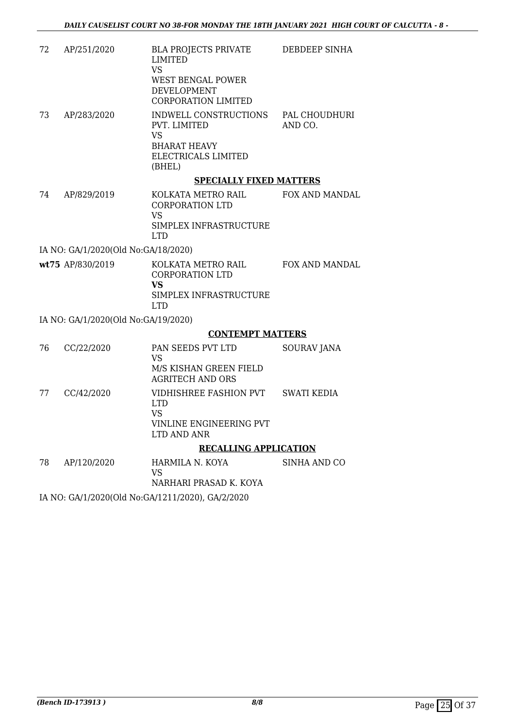| 72<br>AP/251/2020 | <b>BLA PROJECTS PRIVATE</b><br>LIMITED<br>VS<br>WEST BENGAL POWER<br>DEVELOPMENT<br>CORPORATION LIMITED                                      | DEBDEEP SINHA            |
|-------------------|----------------------------------------------------------------------------------------------------------------------------------------------|--------------------------|
| 73<br>AP/283/2020 | INDWELL CONSTRUCTIONS<br><b>PVT. LIMITED</b><br>VS<br><b>BHARAT HEAVY</b><br>ELECTRICALS LIMITED<br>(BHEL)<br><b>SPECIALLY FIXED MATTERS</b> | PAL CHOUDHURI<br>AND CO. |

74 AP/829/2019 KOLKATA METRO RAIL CORPORATION LTD VS SIMPLEX INFRASTRUCTURE LTD FOX AND MANDAL

IA NO: GA/1/2020(Old No:GA/18/2020)

**wt75** AP/830/2019 KOLKATA METRO RAIL CORPORATION LTD **VS** SIMPLEX INFRASTRUCTURE LTD FOX AND MANDAL

IA NO: GA/1/2020(Old No:GA/19/2020)

#### **CONTEMPT MATTERS**

|    |            | <b>RECALLING APPLICATION</b>                      |             |
|----|------------|---------------------------------------------------|-------------|
|    |            | VINLINE ENGINEERING PVT<br>LTD AND ANR            |             |
|    |            | LTD.<br>VS                                        |             |
| 77 | CC/42/2020 | VIDHISHREE FASHION PVT                            | SWATI KEDIA |
|    |            | M/S KISHAN GREEN FIELD<br><b>AGRITECH AND ORS</b> |             |
| 76 | CC/22/2020 | PAN SEEDS PVT LTD<br>VS                           | SOURAV JANA |

| 78 | AP/120/2020 | HARMILA N. KOYA        | SINHA AND CO |
|----|-------------|------------------------|--------------|
|    |             | VS.                    |              |
|    |             | NARHARI PRASAD K. KOYA |              |
|    |             |                        |              |

IA NO: GA/1/2020(Old No:GA/1211/2020), GA/2/2020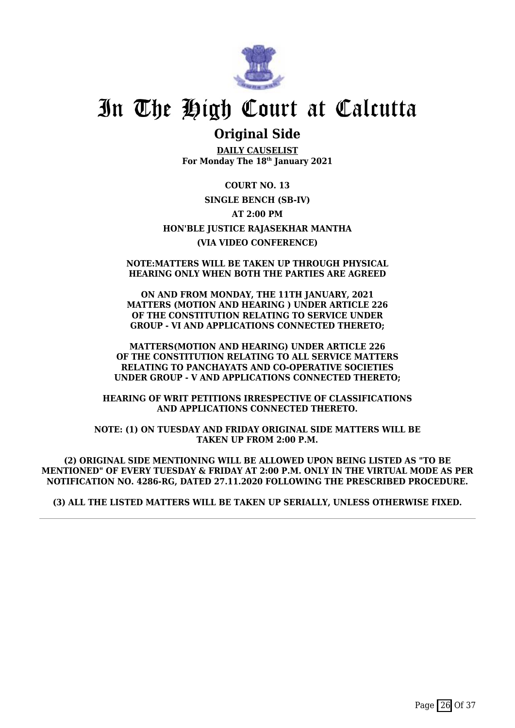

## **Original Side**

**DAILY CAUSELIST For Monday The 18th January 2021**

**COURT NO. 13 SINGLE BENCH (SB-IV) AT 2:00 PM HON'BLE JUSTICE RAJASEKHAR MANTHA (VIA VIDEO CONFERENCE)**

#### **NOTE:MATTERS WILL BE TAKEN UP THROUGH PHYSICAL HEARING ONLY WHEN BOTH THE PARTIES ARE AGREED**

**ON AND FROM MONDAY, THE 11TH JANUARY, 2021 MATTERS (MOTION AND HEARING ) UNDER ARTICLE 226 OF THE CONSTITUTION RELATING TO SERVICE UNDER GROUP - VI AND APPLICATIONS CONNECTED THERETO;**

**MATTERS(MOTION AND HEARING) UNDER ARTICLE 226 OF THE CONSTITUTION RELATING TO ALL SERVICE MATTERS RELATING TO PANCHAYATS AND CO-OPERATIVE SOCIETIES UNDER GROUP - V AND APPLICATIONS CONNECTED THERETO;**

**HEARING OF WRIT PETITIONS IRRESPECTIVE OF CLASSIFICATIONS AND APPLICATIONS CONNECTED THERETO.**

**NOTE: (1) ON TUESDAY AND FRIDAY ORIGINAL SIDE MATTERS WILL BE TAKEN UP FROM 2:00 P.M.**

**(2) ORIGINAL SIDE MENTIONING WILL BE ALLOWED UPON BEING LISTED AS "TO BE MENTIONED" OF EVERY TUESDAY & FRIDAY AT 2:00 P.M. ONLY IN THE VIRTUAL MODE AS PER NOTIFICATION NO. 4286-RG, DATED 27.11.2020 FOLLOWING THE PRESCRIBED PROCEDURE.**

**(3) ALL THE LISTED MATTERS WILL BE TAKEN UP SERIALLY, UNLESS OTHERWISE FIXED.**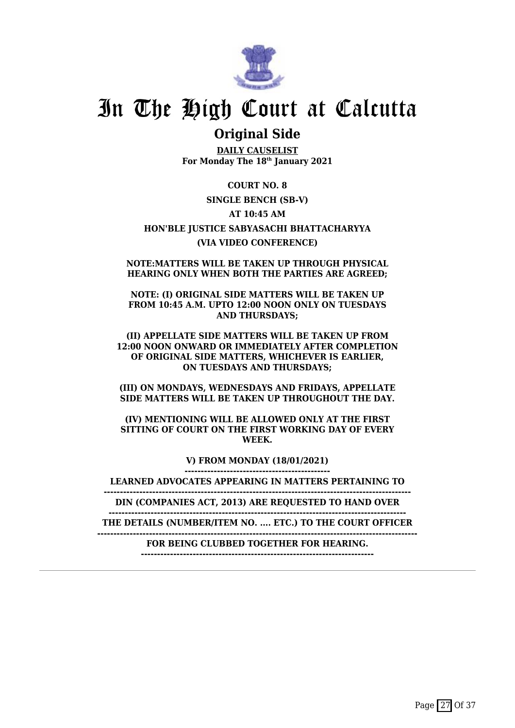

## **Original Side**

**DAILY CAUSELIST For Monday The 18th January 2021**

**COURT NO. 8 SINGLE BENCH (SB-V) AT 10:45 AM HON'BLE JUSTICE SABYASACHI BHATTACHARYYA (VIA VIDEO CONFERENCE)**

**NOTE:MATTERS WILL BE TAKEN UP THROUGH PHYSICAL HEARING ONLY WHEN BOTH THE PARTIES ARE AGREED;**

**NOTE: (I) ORIGINAL SIDE MATTERS WILL BE TAKEN UP FROM 10:45 A.M. UPTO 12:00 NOON ONLY ON TUESDAYS AND THURSDAYS;**

**(II) APPELLATE SIDE MATTERS WILL BE TAKEN UP FROM 12:00 NOON ONWARD OR IMMEDIATELY AFTER COMPLETION OF ORIGINAL SIDE MATTERS, WHICHEVER IS EARLIER, ON TUESDAYS AND THURSDAYS;**

**(III) ON MONDAYS, WEDNESDAYS AND FRIDAYS, APPELLATE SIDE MATTERS WILL BE TAKEN UP THROUGHOUT THE DAY.**

**(IV) MENTIONING WILL BE ALLOWED ONLY AT THE FIRST SITTING OF COURT ON THE FIRST WORKING DAY OF EVERY WEEK.**

> **V) FROM MONDAY (18/01/2021) ---------------------------------------------**

**LEARNED ADVOCATES APPEARING IN MATTERS PERTAINING TO**

**-----------------------------------------------------------------------------------------------**

**DIN (COMPANIES ACT, 2013) ARE REQUESTED TO HAND OVER --------------------------------------------------------------------------------------------**

**THE DETAILS (NUMBER/ITEM NO. .... ETC.) TO THE COURT OFFICER**

**---------------------------------------------------------------------------------------------------**

**FOR BEING CLUBBED TOGETHER FOR HEARING. ------------------------------------------------------------------------**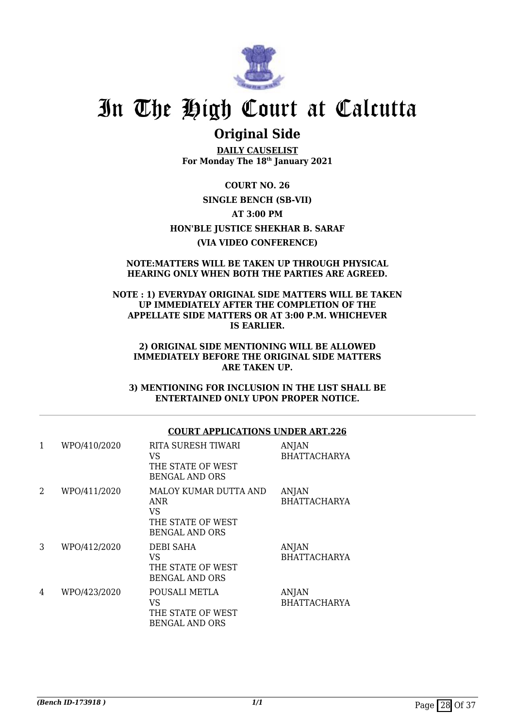

## **Original Side**

**DAILY CAUSELIST For Monday The 18th January 2021**

**COURT NO. 26 SINGLE BENCH (SB-VII) AT 3:00 PM HON'BLE JUSTICE SHEKHAR B. SARAF (VIA VIDEO CONFERENCE)**

#### **NOTE:MATTERS WILL BE TAKEN UP THROUGH PHYSICAL HEARING ONLY WHEN BOTH THE PARTIES ARE AGREED.**

#### **NOTE : 1) EVERYDAY ORIGINAL SIDE MATTERS WILL BE TAKEN UP IMMEDIATELY AFTER THE COMPLETION OF THE APPELLATE SIDE MATTERS OR AT 3:00 P.M. WHICHEVER IS EARLIER.**

#### **2) ORIGINAL SIDE MENTIONING WILL BE ALLOWED IMMEDIATELY BEFORE THE ORIGINAL SIDE MATTERS ARE TAKEN UP.**

**3) MENTIONING FOR INCLUSION IN THE LIST SHALL BE ENTERTAINED ONLY UPON PROPER NOTICE.**

### **COURT APPLICATIONS UNDER ART.226**

| 1              | WPO/410/2020 | RITA SURESH TIWARI<br>VS<br>THE STATE OF WEST<br><b>BENGAL AND ORS</b>           | <b>ANJAN</b><br><b>BHATTACHARYA</b> |
|----------------|--------------|----------------------------------------------------------------------------------|-------------------------------------|
| $\overline{2}$ | WPO/411/2020 | MALOY KUMAR DUTTA AND<br>ANR<br>VS<br>THE STATE OF WEST<br><b>BENGAL AND ORS</b> | <b>ANJAN</b><br><b>BHATTACHARYA</b> |
| 3              | WPO/412/2020 | <b>DEBI SAHA</b><br>VS<br>THE STATE OF WEST<br><b>BENGAL AND ORS</b>             | <b>ANJAN</b><br><b>BHATTACHARYA</b> |
| 4              | WPO/423/2020 | POUSALI METLA<br>VS<br>THE STATE OF WEST<br><b>BENGAL AND ORS</b>                | ANJAN<br><b>BHATTACHARYA</b>        |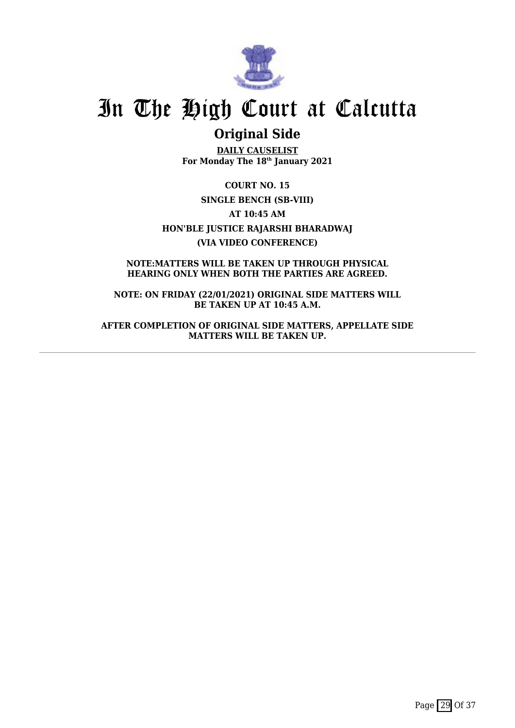

## **Original Side**

**DAILY CAUSELIST For Monday The 18th January 2021**

**COURT NO. 15 SINGLE BENCH (SB-VIII) AT 10:45 AM HON'BLE JUSTICE RAJARSHI BHARADWAJ (VIA VIDEO CONFERENCE)**

**NOTE:MATTERS WILL BE TAKEN UP THROUGH PHYSICAL HEARING ONLY WHEN BOTH THE PARTIES ARE AGREED.**

**NOTE: ON FRIDAY (22/01/2021) ORIGINAL SIDE MATTERS WILL BE TAKEN UP AT 10:45 A.M.**

**AFTER COMPLETION OF ORIGINAL SIDE MATTERS, APPELLATE SIDE MATTERS WILL BE TAKEN UP.**

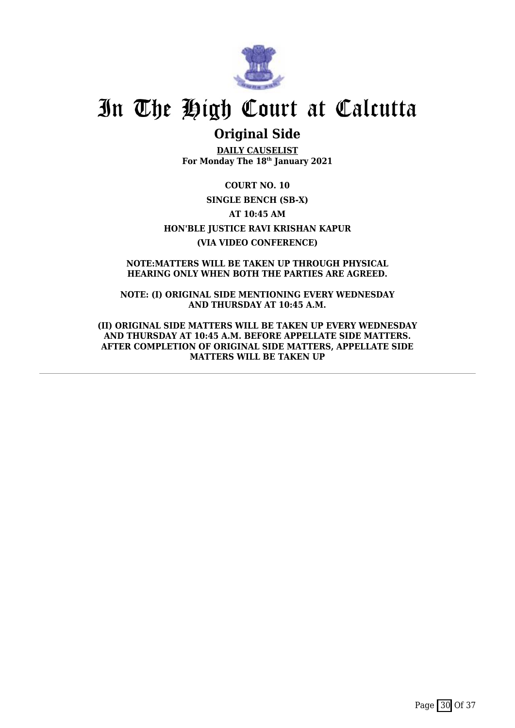

## **Original Side**

**DAILY CAUSELIST For Monday The 18th January 2021**

**COURT NO. 10 SINGLE BENCH (SB-X) AT 10:45 AM HON'BLE JUSTICE RAVI KRISHAN KAPUR (VIA VIDEO CONFERENCE)**

**NOTE:MATTERS WILL BE TAKEN UP THROUGH PHYSICAL HEARING ONLY WHEN BOTH THE PARTIES ARE AGREED.**

**NOTE: (I) ORIGINAL SIDE MENTIONING EVERY WEDNESDAY AND THURSDAY AT 10:45 A.M.**

**(II) ORIGINAL SIDE MATTERS WILL BE TAKEN UP EVERY WEDNESDAY AND THURSDAY AT 10:45 A.M. BEFORE APPELLATE SIDE MATTERS. AFTER COMPLETION OF ORIGINAL SIDE MATTERS, APPELLATE SIDE MATTERS WILL BE TAKEN UP**

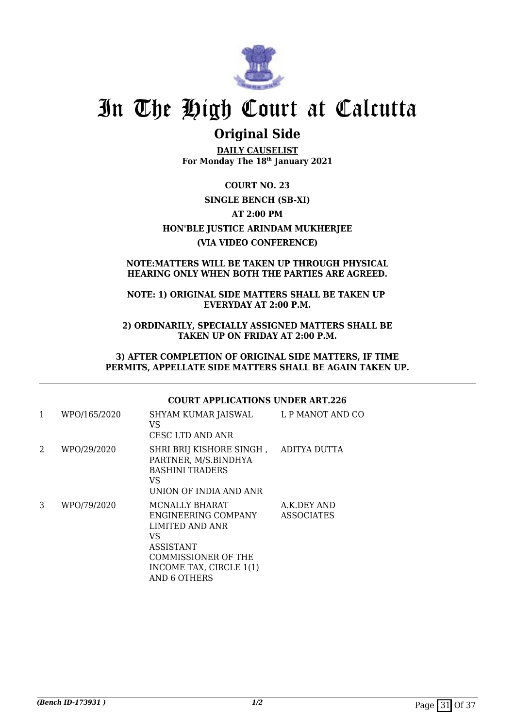

## **Original Side**

**DAILY CAUSELIST For Monday The 18th January 2021**

**COURT NO. 23 SINGLE BENCH (SB-XI) AT 2:00 PM HON'BLE JUSTICE ARINDAM MUKHERJEE (VIA VIDEO CONFERENCE)**

#### **NOTE:MATTERS WILL BE TAKEN UP THROUGH PHYSICAL HEARING ONLY WHEN BOTH THE PARTIES ARE AGREED.**

### **NOTE: 1) ORIGINAL SIDE MATTERS SHALL BE TAKEN UP EVERYDAY AT 2:00 P.M.**

**2) ORDINARILY, SPECIALLY ASSIGNED MATTERS SHALL BE TAKEN UP ON FRIDAY AT 2:00 P.M.**

**3) AFTER COMPLETION OF ORIGINAL SIDE MATTERS, IF TIME PERMITS, APPELLATE SIDE MATTERS SHALL BE AGAIN TAKEN UP.**

### **COURT APPLICATIONS UNDER ART.226**

| $\mathbf{1}$ | WPO/165/2020 | SHYAM KUMAR JAISWAL<br>VS<br>CESC LTD AND ANR                                                                           | L P MANOT AND CO                 |
|--------------|--------------|-------------------------------------------------------------------------------------------------------------------------|----------------------------------|
| 2            | WPO/29/2020  | SHRI BRIJ KISHORE SINGH, ADITYA DUTTA<br>PARTNER, M/S.BINDHYA<br><b>BASHINI TRADERS</b><br>VS<br>UNION OF INDIA AND ANR |                                  |
| 3            | WPO/79/2020  | MCNALLY BHARAT<br>ENGINEERING COMPANY<br>LIMITED AND ANR<br>VS<br><b>ASSISTANT</b><br>COMMISSIONER OF THE               | A.K.DEY AND<br><b>ASSOCIATES</b> |

INCOME TAX, CIRCLE 1(1)

AND 6 OTHERS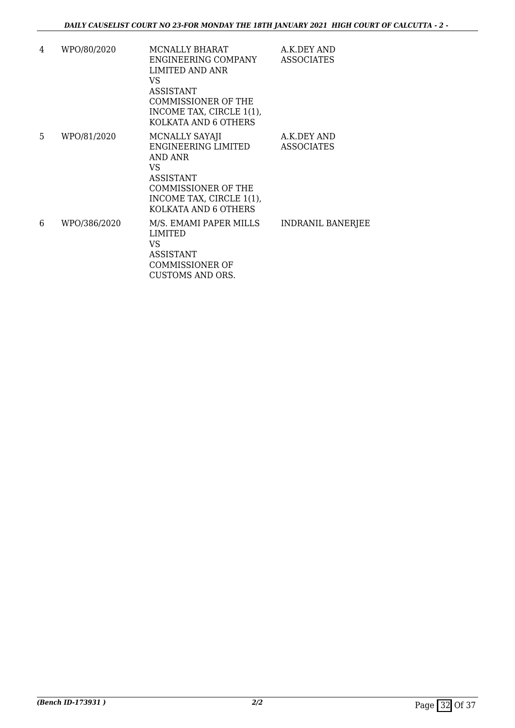| 4  | WPO/80/2020  | MCNALLY BHARAT<br>ENGINEERING COMPANY<br><b>LIMITED AND ANR</b><br>VS.<br>ASSISTANT<br>COMMISSIONER OF THE<br>INCOME TAX, CIRCLE 1(1),<br>KOLKATA AND 6 OTHERS | A.K.DEY AND<br><b>ASSOCIATES</b> |
|----|--------------|----------------------------------------------------------------------------------------------------------------------------------------------------------------|----------------------------------|
| 5. | WPO/81/2020  | MCNALLY SAYAJI<br>ENGINEERING LIMITED<br>AND ANR<br>VS.<br>ASSISTANT<br><b>COMMISSIONER OF THE</b><br>INCOME TAX, CIRCLE 1(1),<br>KOLKATA AND 6 OTHERS         | A.K.DEY AND<br><b>ASSOCIATES</b> |
| 6  | WPO/386/2020 | M/S. EMAMI PAPER MILLS<br><b>LIMITED</b><br>VS<br>ASSISTANT<br><b>COMMISSIONER OF</b><br>CUSTOMS AND ORS.                                                      | <b>INDRANIL BANERJEE</b>         |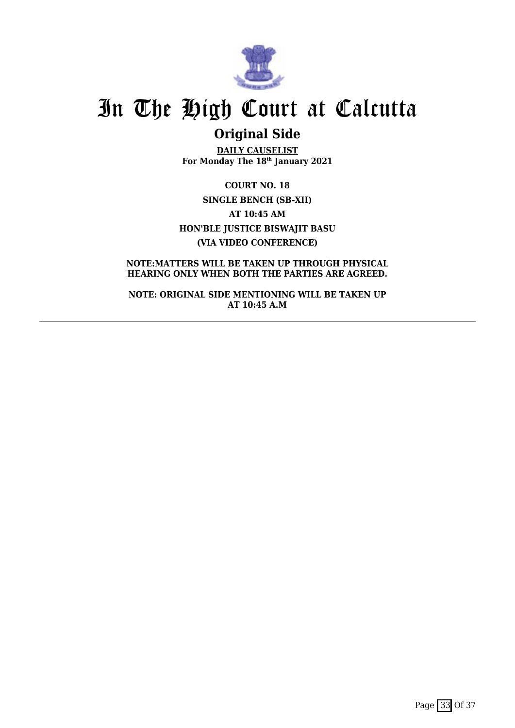

## **Original Side**

**DAILY CAUSELIST For Monday The 18th January 2021**

**COURT NO. 18 SINGLE BENCH (SB-XII) AT 10:45 AM HON'BLE JUSTICE BISWAJIT BASU (VIA VIDEO CONFERENCE)**

**NOTE:MATTERS WILL BE TAKEN UP THROUGH PHYSICAL HEARING ONLY WHEN BOTH THE PARTIES ARE AGREED.**

**NOTE: ORIGINAL SIDE MENTIONING WILL BE TAKEN UP AT 10:45 A.M**

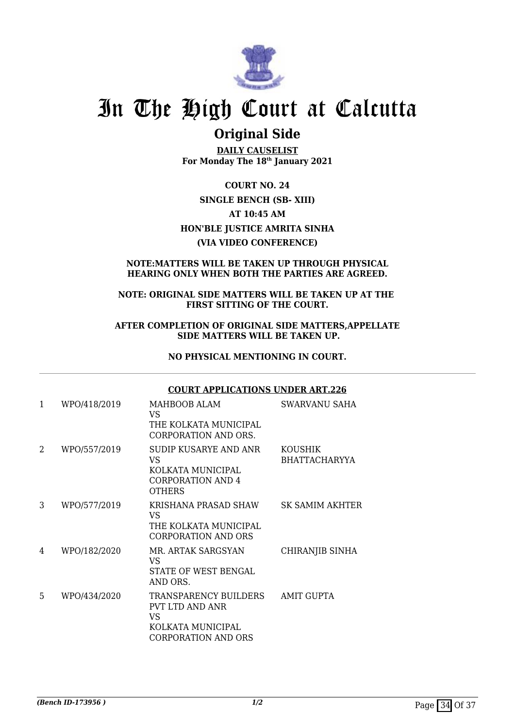

## **Original Side**

**DAILY CAUSELIST For Monday The 18th January 2021**

**COURT NO. 24 SINGLE BENCH (SB- XIII) AT 10:45 AM HON'BLE JUSTICE AMRITA SINHA (VIA VIDEO CONFERENCE)**

### **NOTE:MATTERS WILL BE TAKEN UP THROUGH PHYSICAL HEARING ONLY WHEN BOTH THE PARTIES ARE AGREED.**

#### **NOTE: ORIGINAL SIDE MATTERS WILL BE TAKEN UP AT THE FIRST SITTING OF THE COURT.**

#### **AFTER COMPLETION OF ORIGINAL SIDE MATTERS,APPELLATE SIDE MATTERS WILL BE TAKEN UP.**

### **NO PHYSICAL MENTIONING IN COURT.**

### **COURT APPLICATIONS UNDER ART.226**

| 1 | WPO/418/2019 | MAHBOOB ALAM<br>VS.<br>THE KOLKATA MUNICIPAL<br><b>CORPORATION AND ORS.</b>                               | SWARVANU SAHA                          |
|---|--------------|-----------------------------------------------------------------------------------------------------------|----------------------------------------|
| 2 | WPO/557/2019 | SUDIP KUSARYE AND ANR<br>VS.<br>KOLKATA MUNICIPAL<br><b>CORPORATION AND 4</b><br><b>OTHERS</b>            | <b>KOUSHIK</b><br><b>BHATTACHARYYA</b> |
| 3 | WPO/577/2019 | KRISHANA PRASAD SHAW<br>VS<br>THE KOLKATA MUNICIPAL<br>CORPORATION AND ORS                                | SK SAMIM AKHTER                        |
| 4 | WPO/182/2020 | MR. ARTAK SARGSYAN<br>VS<br>STATE OF WEST BENGAL<br>AND ORS.                                              | CHIRANJIB SINHA                        |
| 5 | WPO/434/2020 | <b>TRANSPARENCY BUILDERS</b><br>PVT LTD AND ANR<br>VS.<br>KOLKATA MUNICIPAL<br><b>CORPORATION AND ORS</b> | <b>AMIT GUPTA</b>                      |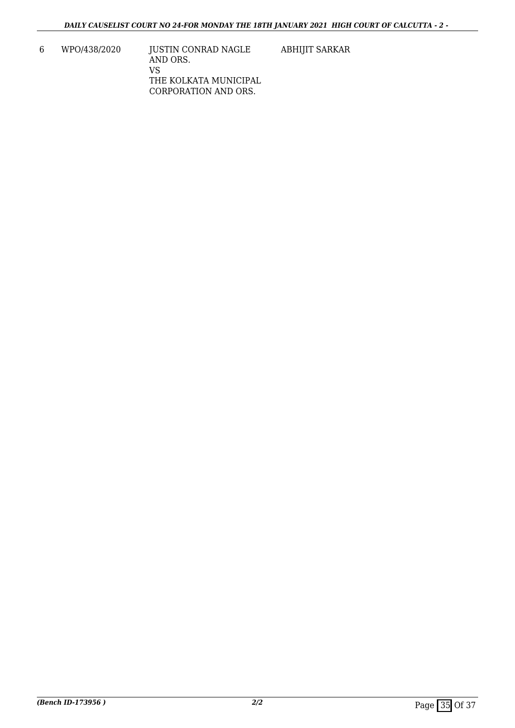6 WPO/438/2020 JUSTIN CONRAD NAGLE AND ORS. VS THE KOLKATA MUNICIPAL CORPORATION AND ORS. ABHIJIT SARKAR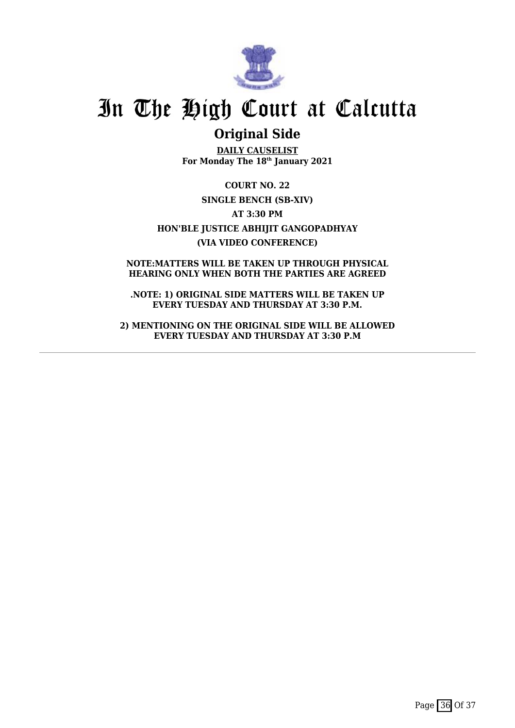

## **Original Side**

**DAILY CAUSELIST For Monday The 18th January 2021**

**COURT NO. 22 SINGLE BENCH (SB-XIV) AT 3:30 PM HON'BLE JUSTICE ABHIJIT GANGOPADHYAY (VIA VIDEO CONFERENCE)**

**NOTE:MATTERS WILL BE TAKEN UP THROUGH PHYSICAL HEARING ONLY WHEN BOTH THE PARTIES ARE AGREED**

**.NOTE: 1) ORIGINAL SIDE MATTERS WILL BE TAKEN UP EVERY TUESDAY AND THURSDAY AT 3:30 P.M.**

**2) MENTIONING ON THE ORIGINAL SIDE WILL BE ALLOWED EVERY TUESDAY AND THURSDAY AT 3:30 P.M**